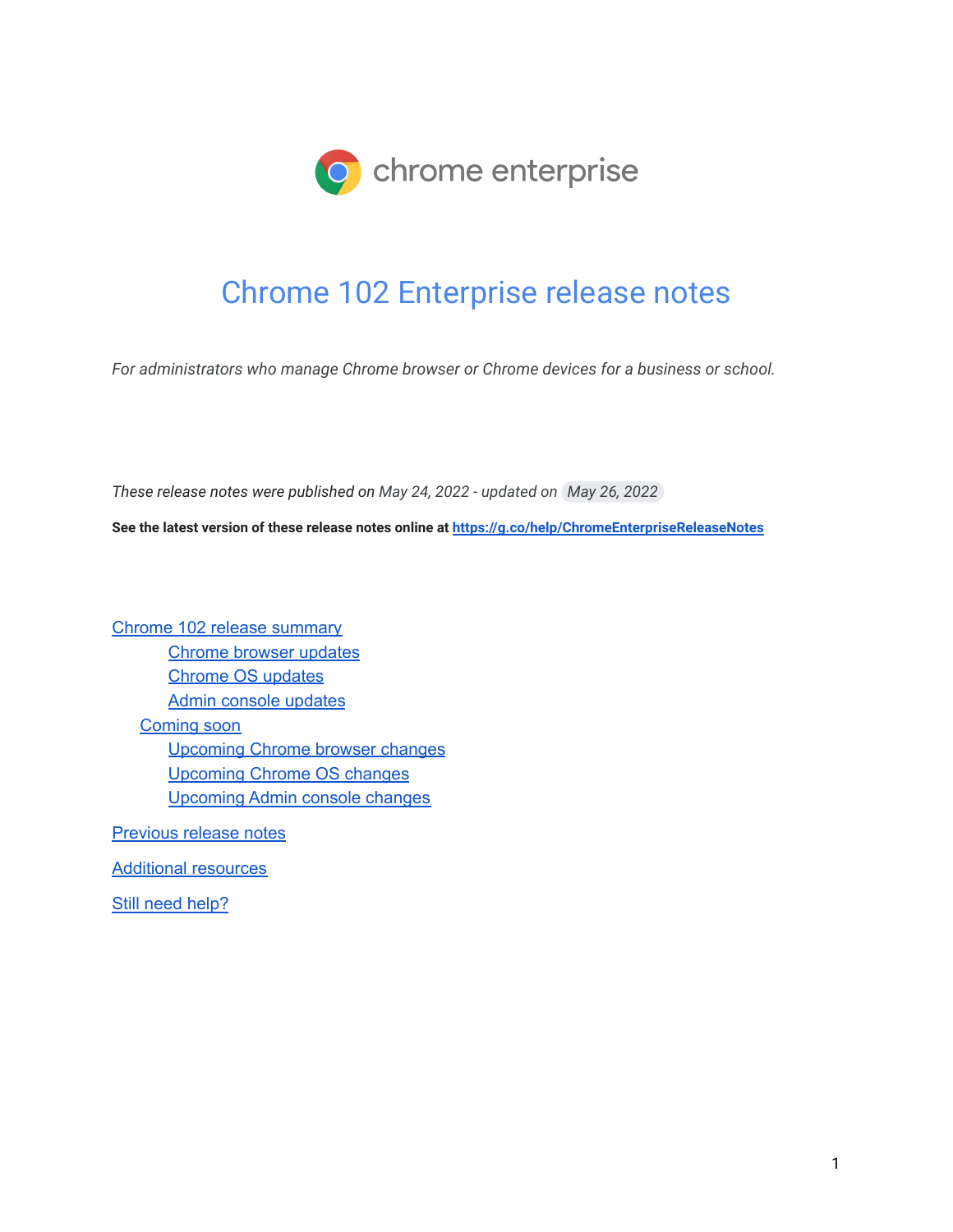

# Chrome 102 Enterprise release notes

*For administrators who manage Chrome browser or Chrome devices for a business or school.*

*These release notes were published on May 24, 2022 - updated on May 26, 2022*

**See the latest version of these release notes online at <https://g.co/help/ChromeEnterpriseReleaseNotes>**

Chrome 102 release [summary](#page-1-0) [Chrome](#page-3-0) browser updates [Chrome](#page-6-0) OS updates Admin console [updates](#page-9-0) [Coming](#page-10-0) soon [Upcoming](#page-10-1) Chrome browser changes [Upcoming](#page-17-0) Chrome OS changes [Upcoming](#page-18-0) Admin console changes

[Previous](#page-19-0) release notes

[Additional](#page-20-0) resources

Still need [help?](#page-20-1)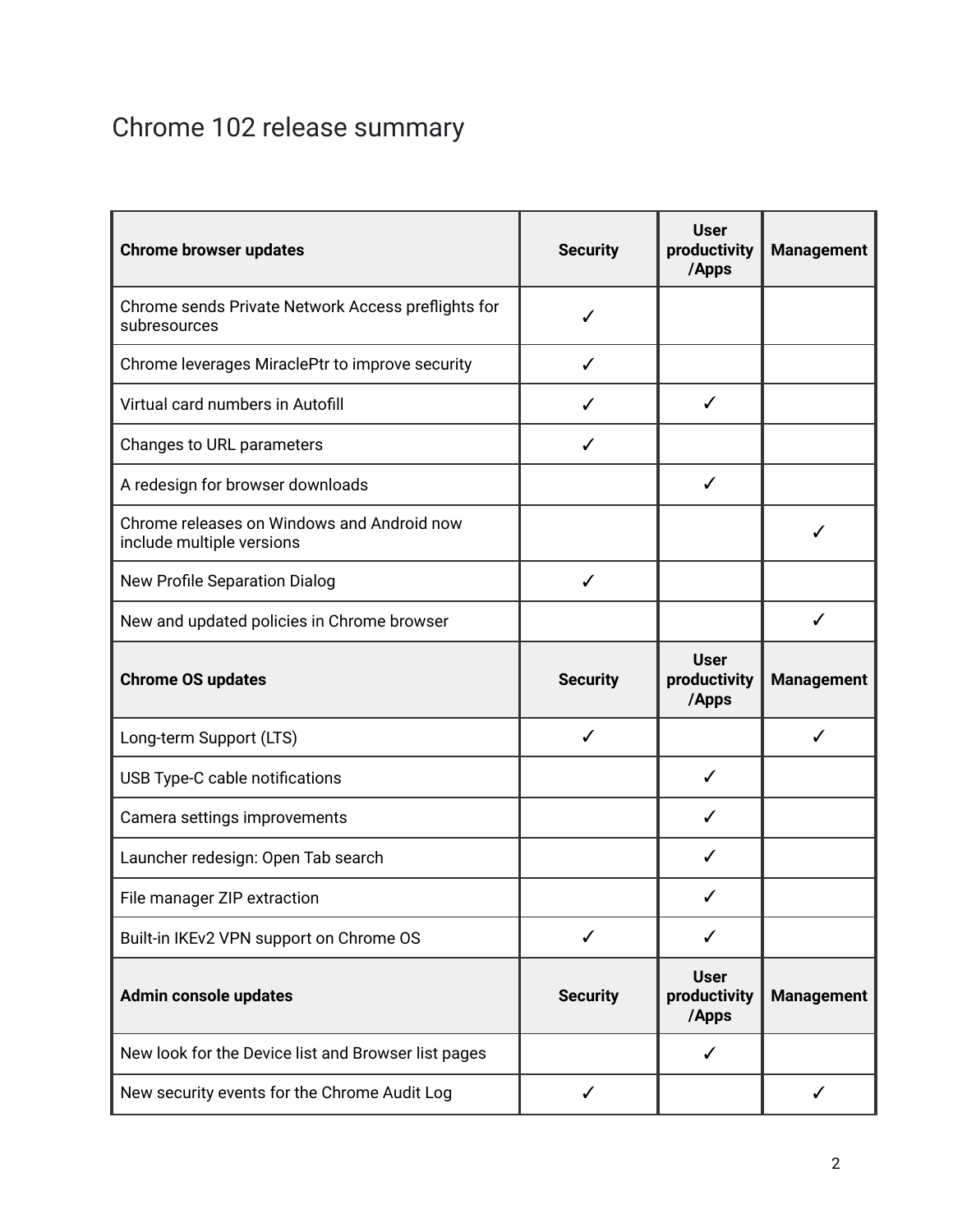# <span id="page-1-0"></span>Chrome 102 release summary

| <b>Chrome browser updates</b>                                           | <b>Security</b> | <b>User</b><br>productivity<br>/Apps | <b>Management</b> |
|-------------------------------------------------------------------------|-----------------|--------------------------------------|-------------------|
| Chrome sends Private Network Access preflights for<br>subresources      | ✓               |                                      |                   |
| Chrome leverages MiraclePtr to improve security                         | ✓               |                                      |                   |
| Virtual card numbers in Autofill                                        |                 | ✓                                    |                   |
| Changes to URL parameters                                               | ✓               |                                      |                   |
| A redesign for browser downloads                                        |                 | ✓                                    |                   |
| Chrome releases on Windows and Android now<br>include multiple versions |                 |                                      |                   |
| New Profile Separation Dialog                                           | $\checkmark$    |                                      |                   |
| New and updated policies in Chrome browser                              |                 |                                      | ✓                 |
| <b>Chrome OS updates</b>                                                | <b>Security</b> | <b>User</b><br>productivity<br>/Apps | <b>Management</b> |
| Long-term Support (LTS)                                                 | ✓               |                                      | ✓                 |
| USB Type-C cable notifications                                          |                 | ✓                                    |                   |
| Camera settings improvements                                            |                 | ✓                                    |                   |
| Launcher redesign: Open Tab search                                      |                 | ✓                                    |                   |
| File manager ZIP extraction                                             |                 |                                      |                   |
|                                                                         |                 |                                      |                   |
| Built-in IKEv2 VPN support on Chrome OS                                 | ✓               | ✓                                    |                   |
| Admin console updates                                                   | <b>Security</b> | <b>User</b><br>productivity<br>/Apps | <b>Management</b> |
| New look for the Device list and Browser list pages                     |                 | ✓                                    |                   |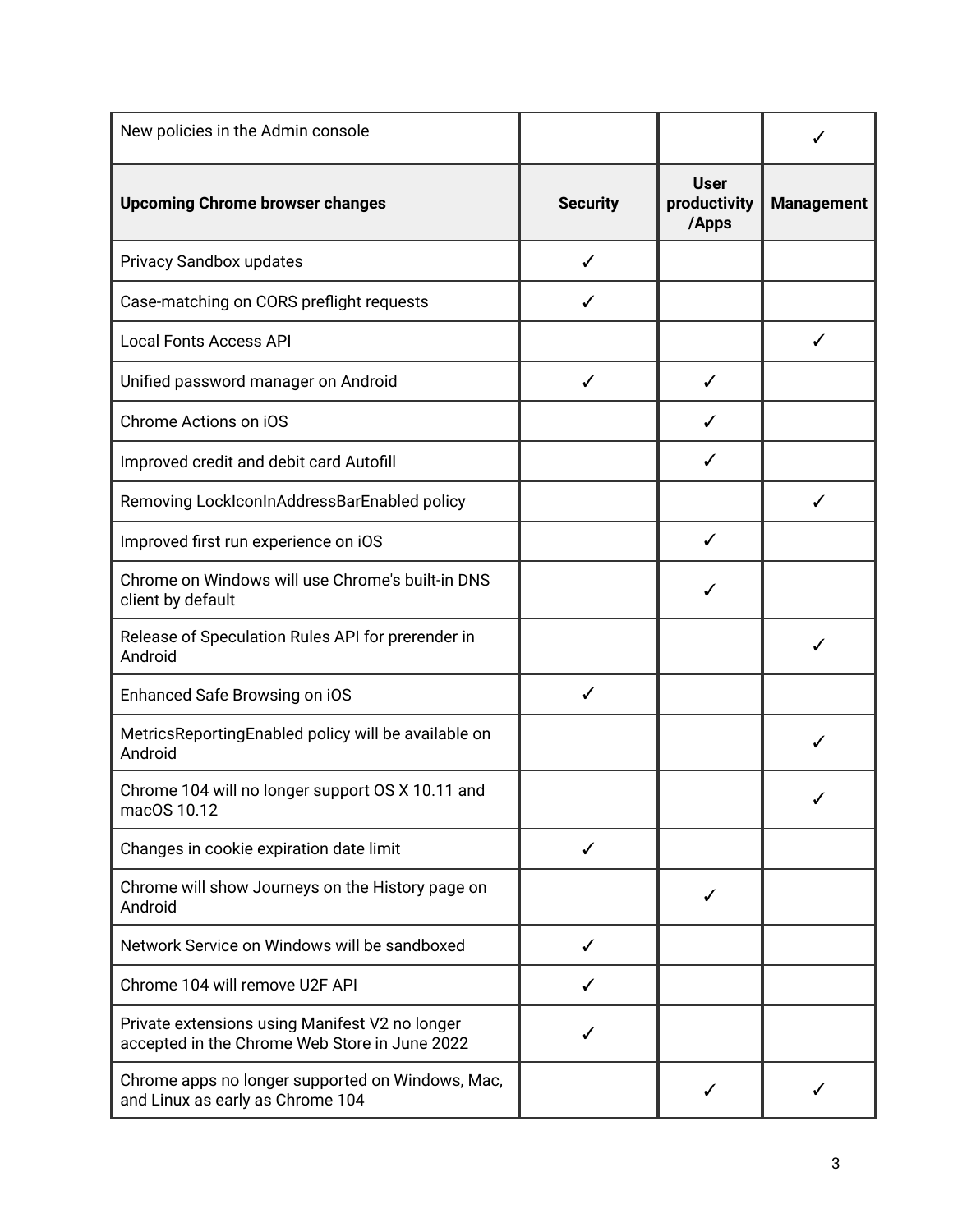| New policies in the Admin console                                                               |                 |                                      |                   |
|-------------------------------------------------------------------------------------------------|-----------------|--------------------------------------|-------------------|
| <b>Upcoming Chrome browser changes</b>                                                          | <b>Security</b> | <b>User</b><br>productivity<br>/Apps | <b>Management</b> |
| Privacy Sandbox updates                                                                         | ✓               |                                      |                   |
| Case-matching on CORS preflight requests                                                        | ✓               |                                      |                   |
| <b>Local Fonts Access API</b>                                                                   |                 |                                      | ✓                 |
| Unified password manager on Android                                                             | $\checkmark$    | ✓                                    |                   |
| Chrome Actions on iOS                                                                           |                 | ✓                                    |                   |
| Improved credit and debit card Autofill                                                         |                 | ✓                                    |                   |
| Removing LockIconInAddressBarEnabled policy                                                     |                 |                                      |                   |
| Improved first run experience on iOS                                                            |                 | ✓                                    |                   |
| Chrome on Windows will use Chrome's built-in DNS<br>client by default                           |                 |                                      |                   |
| Release of Speculation Rules API for prerender in<br>Android                                    |                 |                                      |                   |
| Enhanced Safe Browsing on iOS                                                                   | $\checkmark$    |                                      |                   |
| MetricsReportingEnabled policy will be available on<br>Android                                  |                 |                                      |                   |
| Chrome 104 will no longer support OS X 10.11 and<br>macOS 10.12                                 |                 |                                      |                   |
| Changes in cookie expiration date limit                                                         | $\checkmark$    |                                      |                   |
| Chrome will show Journeys on the History page on<br>Android                                     |                 | √                                    |                   |
| Network Service on Windows will be sandboxed                                                    | ✓               |                                      |                   |
| Chrome 104 will remove U2F API                                                                  | ✓               |                                      |                   |
| Private extensions using Manifest V2 no longer<br>accepted in the Chrome Web Store in June 2022 |                 |                                      |                   |
| Chrome apps no longer supported on Windows, Mac,<br>and Linux as early as Chrome 104            |                 | ✓                                    |                   |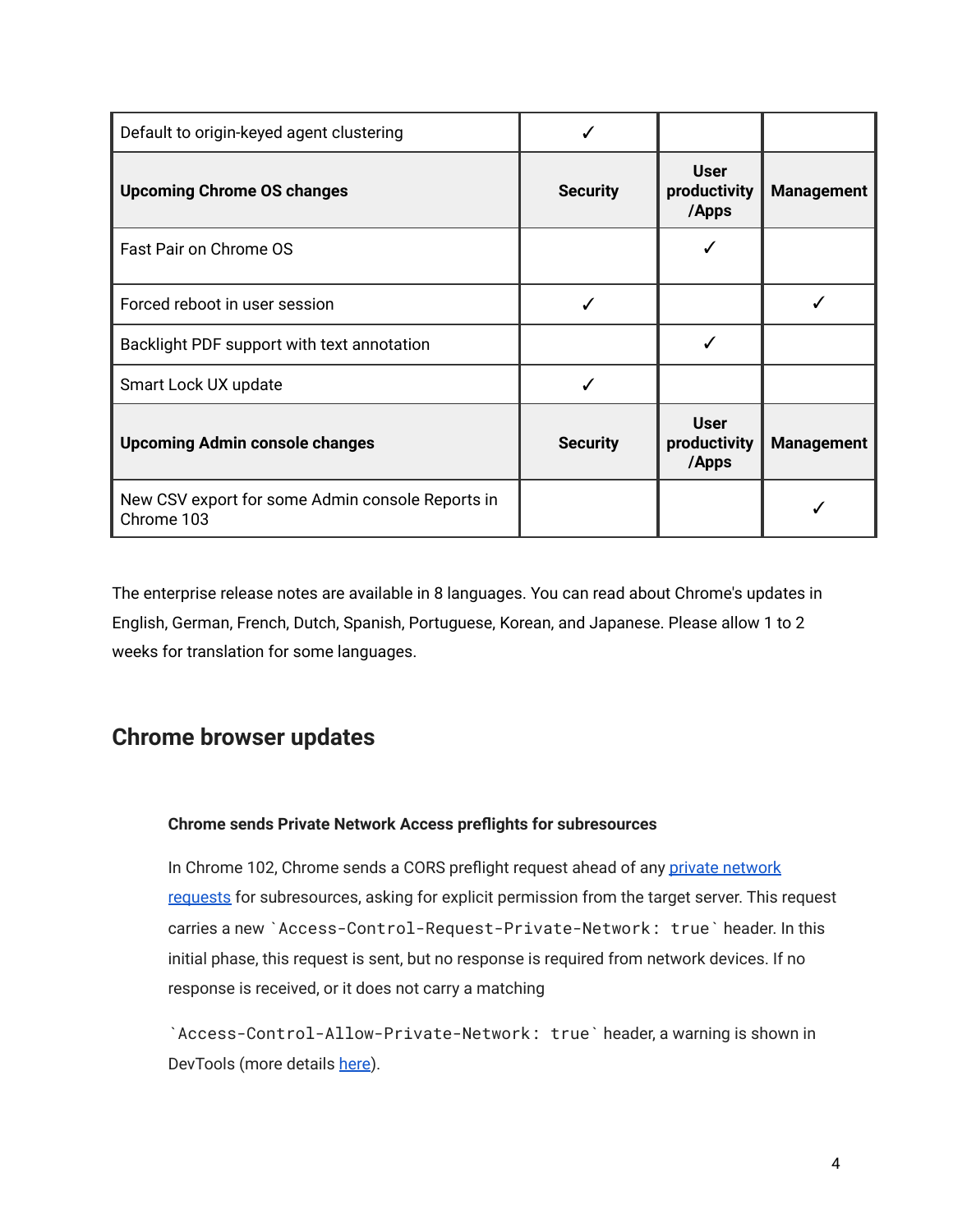| Default to origin-keyed agent clustering                       |                 |                                      |                   |
|----------------------------------------------------------------|-----------------|--------------------------------------|-------------------|
| <b>Upcoming Chrome OS changes</b>                              | <b>Security</b> | <b>User</b><br>productivity<br>/Apps | <b>Management</b> |
| Fast Pair on Chrome OS                                         |                 |                                      |                   |
| Forced reboot in user session                                  |                 |                                      |                   |
| Backlight PDF support with text annotation                     |                 |                                      |                   |
| Smart Lock UX update                                           |                 |                                      |                   |
| <b>Upcoming Admin console changes</b>                          | <b>Security</b> | <b>User</b><br>productivity<br>/Apps | <b>Management</b> |
| New CSV export for some Admin console Reports in<br>Chrome 103 |                 |                                      |                   |

The enterprise release notes are available in 8 languages. You can read about Chrome's updates in English, German, French, Dutch, Spanish, Portuguese, Korean, and Japanese. Please allow 1 to 2 weeks for translation for some languages.

## <span id="page-3-0"></span>**Chrome browser updates**

#### **Chrome sends Private Network Access preflights for subresources**

In Chrome 102, Chrome sends a CORS preflight request ahead of any [private network](https://developer.chrome.com/blog/private-network-access-preflight/#what-is-private-network-access-pna) [requests](https://developer.chrome.com/blog/private-network-access-preflight/#what-is-private-network-access-pna) for subresources, asking for explicit permission from the target server. This request carries a new `Access-Control-Request-Private-Network: true` header. In this initial phase, this request is sent, but no response is required from network devices. If no response is received, or it does not carry a matching

`Access-Control-Allow-Private-Network: true` header, a warning is shown in DevTools (more details [here](https://developer.chrome.com/blog/private-network-access-preflight/#how-to-know-if-your-website-is-affected)).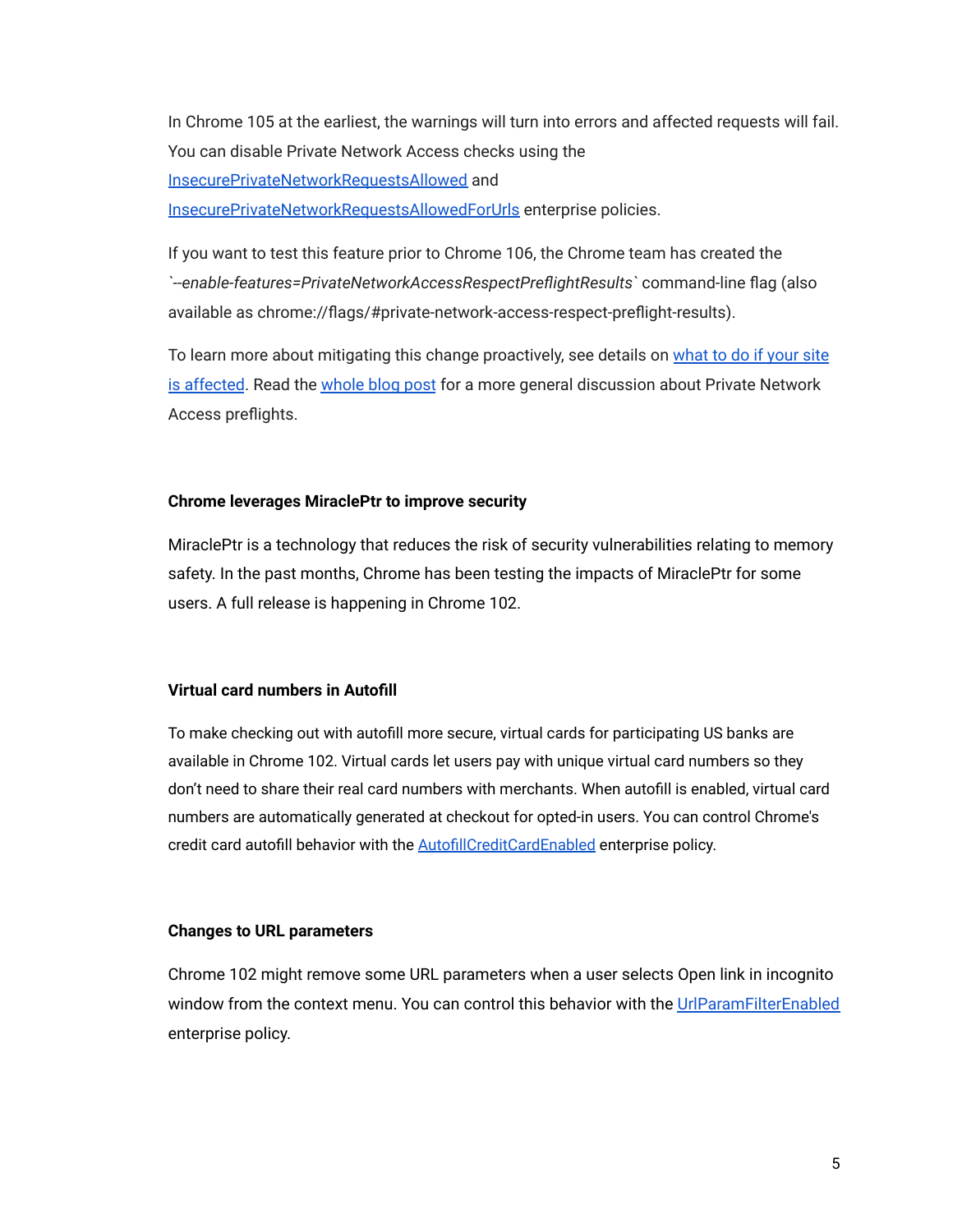In Chrome 105 at the earliest, the warnings will turn into errors and affected requests will fail. You can disable Private Network Access checks using the [InsecurePrivateNetworkRequestsAllowed](https://chromeenterprise.google/policies/#InsecurePrivateNetworkRequestsAllowed) and [InsecurePrivateNetworkRequestsAllowedForUrls](https://chromeenterprise.google/policies/#InsecurePrivateNetworkRequestsAllowedForUrls) enterprise policies.

If you want to test this feature prior to Chrome 106, the Chrome team has created the *`--enable-features=PrivateNetworkAccessRespectPreflightResults`* command-line flag (also available as chrome://flags/#private-network-access-respect-preflight-results).

To learn more about mitigating this change proactively, see details on [what to do if your site](https://developer.chrome.com/blog/private-network-access-preflight/#what-to-do-if-your-website-is-affected) [is affected](https://developer.chrome.com/blog/private-network-access-preflight/#what-to-do-if-your-website-is-affected). Read the [whole blog post](https://developer.chrome.com/blog/private-network-access-preflight/) for a more general discussion about Private Network Access preflights.

#### **Chrome leverages MiraclePtr to improve security**

MiraclePtr is a technology that reduces the risk of security vulnerabilities relating to memory safety. In the past months, Chrome has been testing the impacts of MiraclePtr for some users. A full release is happening in Chrome 102.

#### **Virtual card numbers in Autofill**

To make checking out with autofill more secure, virtual cards for participating US banks are available in Chrome 102. Virtual cards let users pay with unique virtual card numbers so they don't need to share their real card numbers with merchants. When autofill is enabled, virtual card numbers are automatically generated at checkout for opted-in users. You can control Chrome's credit card autofill behavior with the **[AutofillCreditCardEnabled](https://chromeenterprise.google/policies/#AutofillCreditCardEnabled)** enterprise policy.

#### **Changes to URL parameters**

Chrome 102 might remove some URL parameters when a user selects Open link in incognito window from the context menu. You can control this behavior with the [UrlParamFilterEnabled](https://chromeenterprise.google/policies/#UrlParamFilterEnabled) enterprise policy.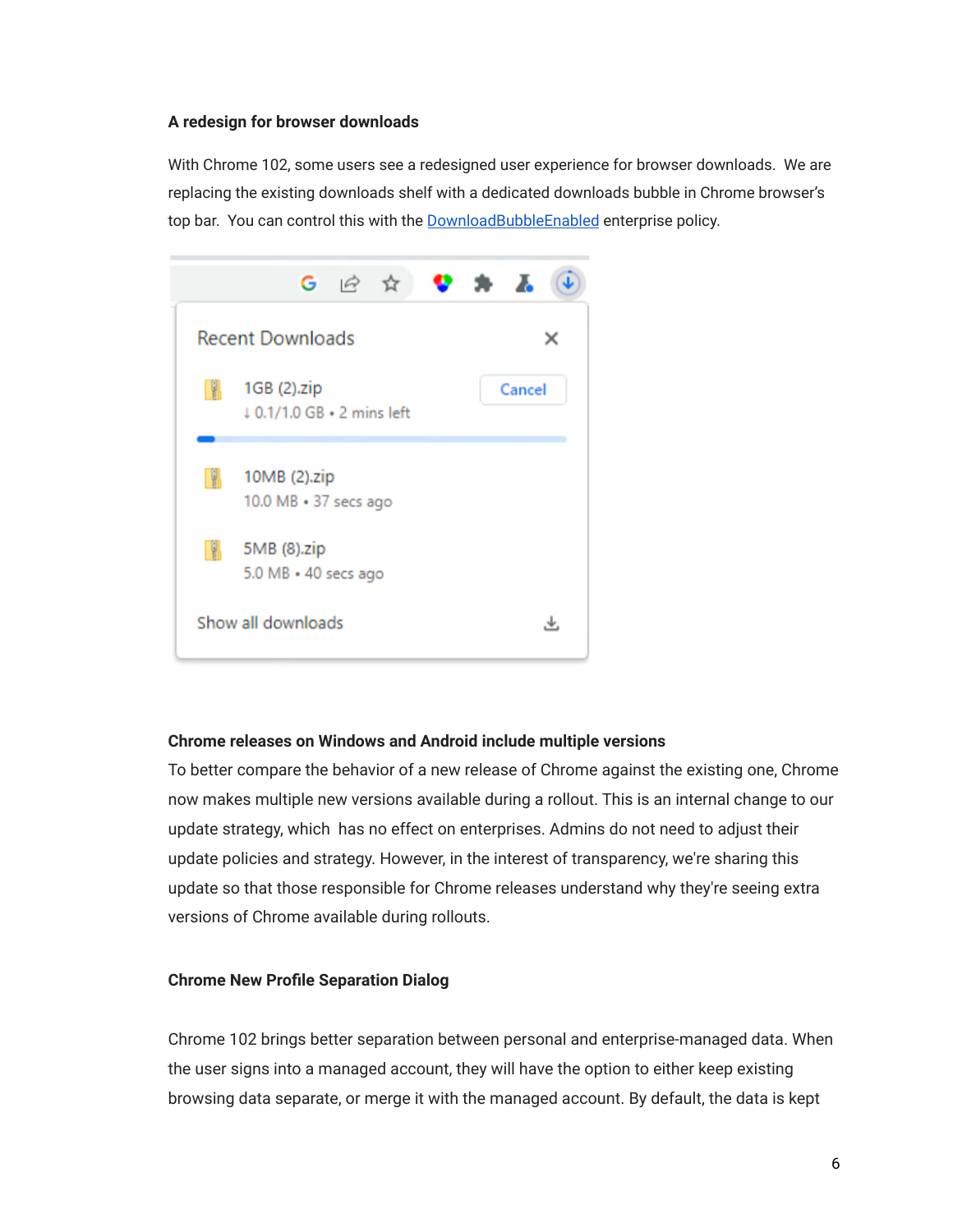#### **A redesign for browser downloads**

With Chrome 102, some users see a redesigned user experience for browser downloads. We are replacing the existing downloads shelf with a dedicated downloads bubble in Chrome browser's top bar. You can control this with the [DownloadBubbleEnabled](https://chromeenterprise.google/policies/#DownloadBubbleEnabled) enterprise policy.



#### **Chrome releases on Windows and Android include multiple versions**

To better compare the behavior of a new release of Chrome against the existing one, Chrome now makes multiple new versions available during a rollout. This is an internal change to our update strategy, which has no effect on enterprises. Admins do not need to adjust their update policies and strategy. However, in the interest of transparency, we're sharing this update so that those responsible for Chrome releases understand why they're seeing extra versions of Chrome available during rollouts.

#### **Chrome New Profile Separation Dialog**

Chrome 102 brings better separation between personal and enterprise-managed data. When the user signs into a managed account, they will have the option to either keep existing browsing data separate, or merge it with the managed account. By default, the data is kept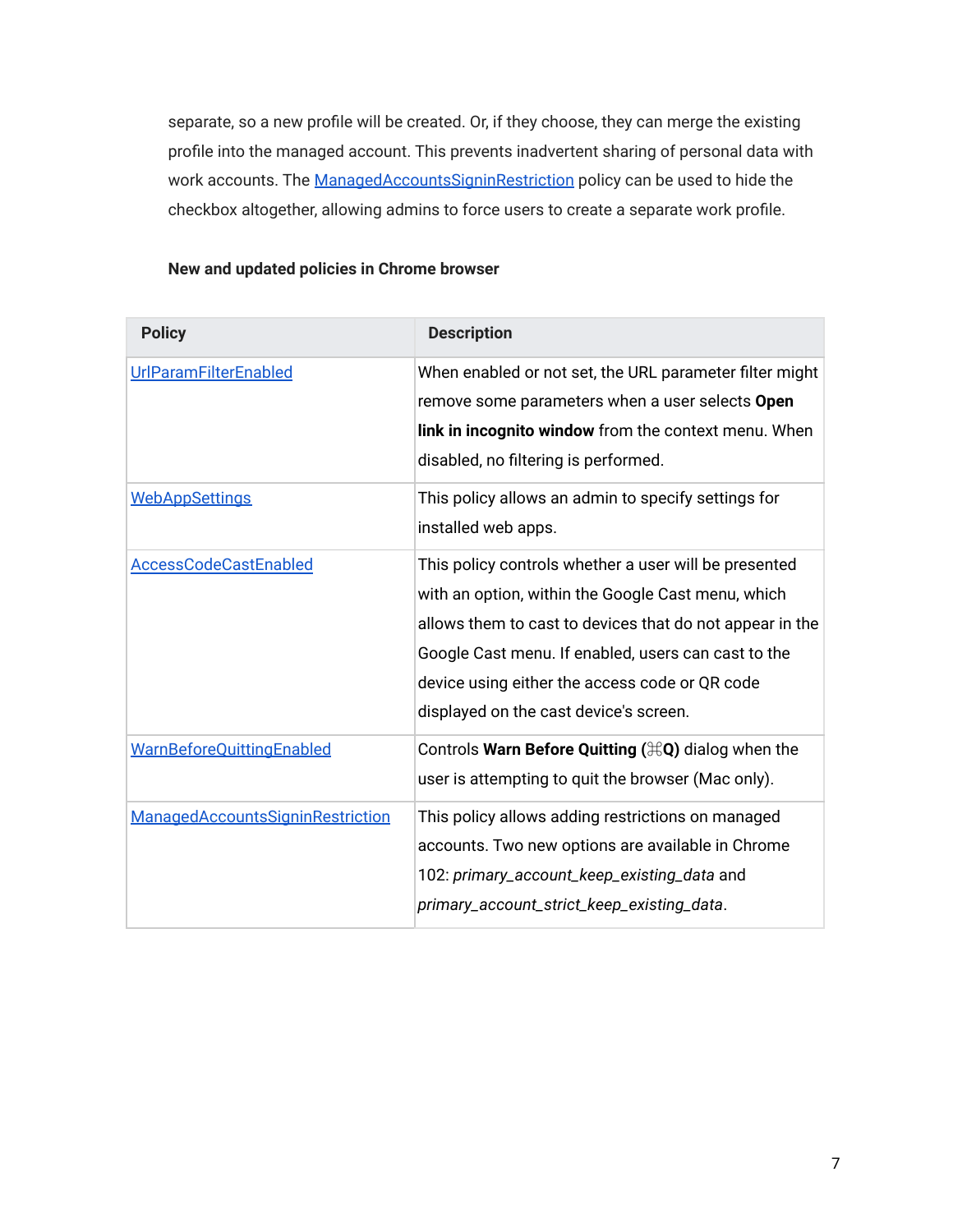separate, so a new profile will be created. Or, if they choose, they can merge the existing profile into the managed account. This prevents inadvertent sharing of personal data with work accounts. The [ManagedAccountsSigninRestriction](https://chromeenterprise.google/intl/en_us/policies/#ManagedAccountsSigninRestriction) policy can be used to hide the checkbox altogether, allowing admins to force users to create a separate work profile.

<span id="page-6-0"></span>

| <b>Policy</b>                    | <b>Description</b>                                                                                                                                                                                                                                                                                                         |
|----------------------------------|----------------------------------------------------------------------------------------------------------------------------------------------------------------------------------------------------------------------------------------------------------------------------------------------------------------------------|
| UrlParamFilterEnabled            | When enabled or not set, the URL parameter filter might<br>remove some parameters when a user selects Open<br>link in incognito window from the context menu. When<br>disabled, no filtering is performed.                                                                                                                 |
| <b>WebAppSettings</b>            | This policy allows an admin to specify settings for<br>installed web apps.                                                                                                                                                                                                                                                 |
| <b>AccessCodeCastEnabled</b>     | This policy controls whether a user will be presented<br>with an option, within the Google Cast menu, which<br>allows them to cast to devices that do not appear in the<br>Google Cast menu. If enabled, users can cast to the<br>device using either the access code or QR code<br>displayed on the cast device's screen. |
| <b>WarnBeforeQuittingEnabled</b> | Controls Warn Before Quitting $(\text{HQ})$ dialog when the<br>user is attempting to quit the browser (Mac only).                                                                                                                                                                                                          |
| ManagedAccountsSigninRestriction | This policy allows adding restrictions on managed<br>accounts. Two new options are available in Chrome<br>102: primary_account_keep_existing_data and<br>primary_account_strict_keep_existing_data.                                                                                                                        |

#### **New and updated policies in Chrome browser**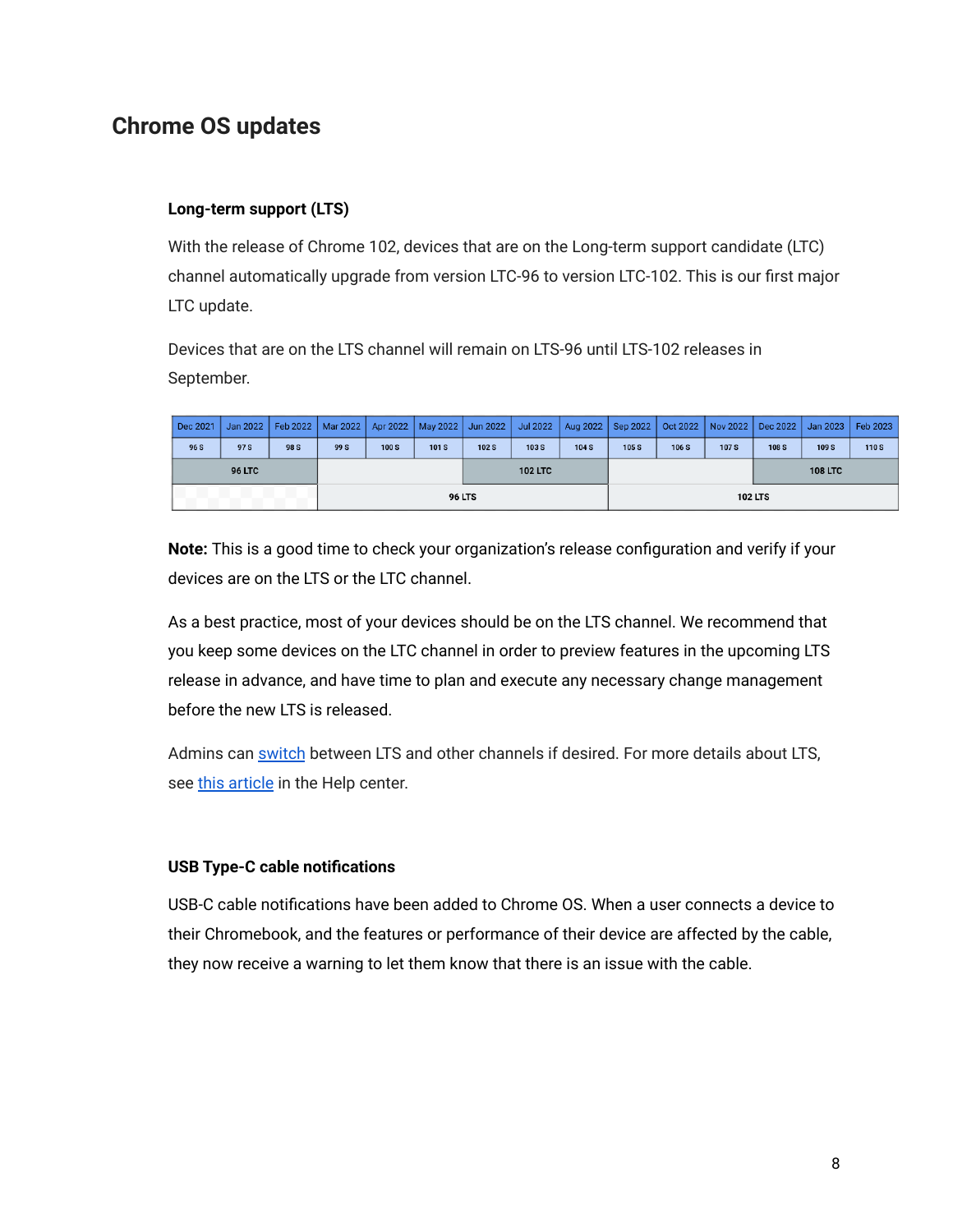## **Chrome OS updates**

#### **Long-term support (LTS)**

With the release of Chrome 102, devices that are on the Long-term support candidate (LTC) channel automatically upgrade from version LTC-96 to version LTC-102. This is our first major LTC update.

Devices that are on the LTS channel will remain on LTS-96 until LTS-102 releases in September.

| Dec 2021      | Jan 2022 $ $ |      | Feb 2022   Mar 2022   Apr 2022   May 2022   Jun 2022   Jul 2022   Aug 2022   Sep 2022   Oct 2022   Nov 2022   Dec 2022   Jan 2023   Feb 2023 |       |      |                |       |       |       |                |                  |                |                  |       |
|---------------|--------------|------|----------------------------------------------------------------------------------------------------------------------------------------------|-------|------|----------------|-------|-------|-------|----------------|------------------|----------------|------------------|-------|
| 96 S          | 97 S         | 98 S | 99 S                                                                                                                                         | 100 S | 101S | 102S           | 103 S | 104 S | 105 S | 106 S          | 107 <sub>S</sub> | 108 S          | 109 <sub>S</sub> | 110 S |
| <b>96 LTC</b> |              |      |                                                                                                                                              |       |      | <b>102 LTC</b> |       |       |       |                |                  | <b>108 LTC</b> |                  |       |
| <b>96 LTS</b> |              |      |                                                                                                                                              |       |      |                |       |       |       | <b>102 LTS</b> |                  |                |                  |       |

**Note:** This is a good time to check your organization's release configuration and verify if your devices are on the LTS or the LTC channel.

As a best practice, most of your devices should be on the LTS channel. We recommend that you keep some devices on the LTC channel in order to preview features in the upcoming LTS release in advance, and have time to plan and execute any necessary change management before the new LTS is released.

Admins can switch [between](https://support.google.com/chrome/a/answer/1375678?hl=en#zippy=%2Crelease-channel) LTS and other channels if desired. For more details about LTS, see [this article](https://support.google.com/chrome/a/answer/11333726) in the Help center.

#### **USB Type-C cable notifications**

USB-C cable notifications have been added to Chrome OS. When a user connects a device to their Chromebook, and the features or performance of their device are affected by the cable, they now receive a warning to let them know that there is an issue with the cable.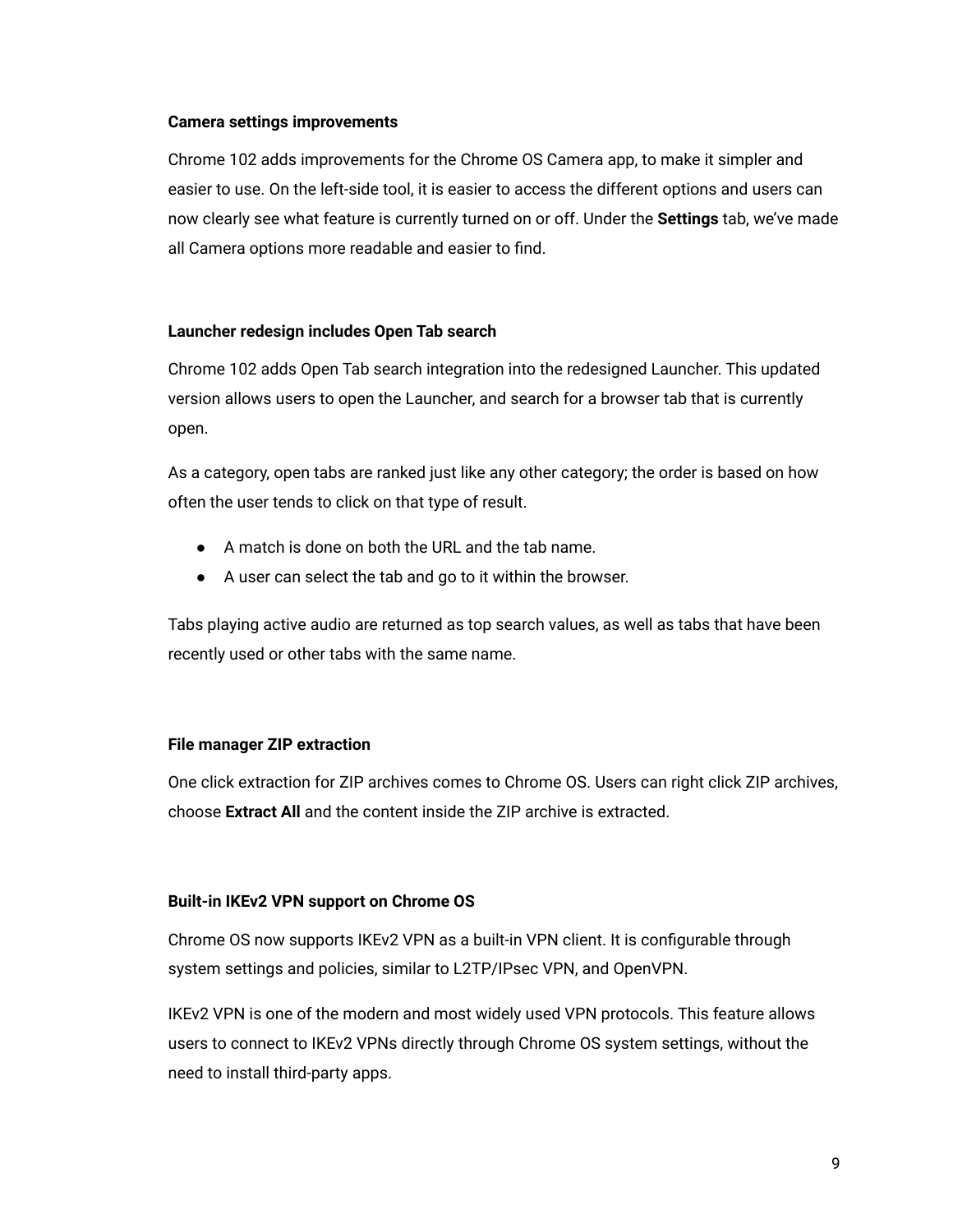#### **Camera settings improvements**

Chrome 102 adds improvements for the Chrome OS Camera app, to make it simpler and easier to use. On the left-side tool, it is easier to access the different options and users can now clearly see what feature is currently turned on or off. Under the **Settings** tab, we've made all Camera options more readable and easier to find.

#### **Launcher redesign includes Open Tab search**

Chrome 102 adds Open Tab search integration into the redesigned Launcher. This updated version allows users to open the Launcher, and search for a browser tab that is currently open.

As a category, open tabs are ranked just like any other category; the order is based on how often the user tends to click on that type of result.

- A match is done on both the URL and the tab name.
- A user can select the tab and go to it within the browser.

Tabs playing active audio are returned as top search values, as well as tabs that have been recently used or other tabs with the same name.

#### **File manager ZIP extraction**

One click extraction for ZIP archives comes to Chrome OS. Users can right click ZIP archives, choose **Extract All** and the content inside the ZIP archive is extracted.

#### **Built-in IKEv2 VPN support on Chrome OS**

Chrome OS now supports IKEv2 VPN as a built-in VPN client. It is configurable through system settings and policies, similar to L2TP/IPsec VPN, and OpenVPN.

IKEv2 VPN is one of the modern and most widely used VPN protocols. This feature allows users to connect to IKEv2 VPNs directly through Chrome OS system settings, without the need to install third-party apps.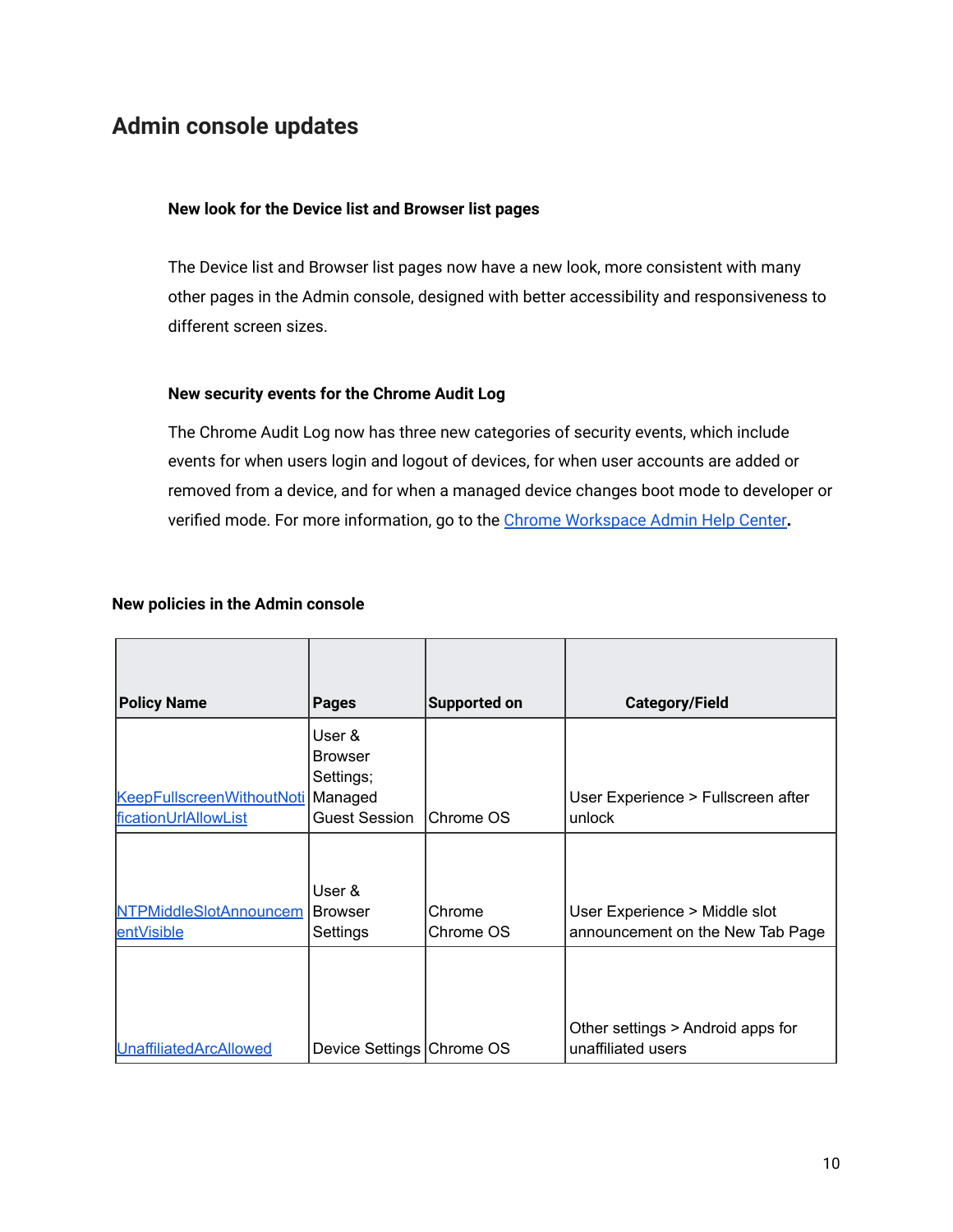## <span id="page-9-0"></span>**Admin console updates**

#### **New look for the Device list and Browser list pages**

The Device list and Browser list pages now have a new look, more consistent with many other pages in the Admin console, designed with better accessibility and responsiveness to different screen sizes.

#### **New security events for the Chrome Audit Log**

The Chrome Audit Log now has three new categories of security events, which include events for when users login and logout of devices, for when user accounts are added or removed from a device, and for when a managed device changes boot mode to developer or verified mode. For more information, go to the Chrome [Workspace Admin Help Center](https://support.google.com/a/answer/9393909?hl=en)**.**

| <b>Policy Name</b>                          | <b>Pages</b>                          | <b>Supported on</b> | <b>Category/Field</b>                                             |
|---------------------------------------------|---------------------------------------|---------------------|-------------------------------------------------------------------|
|                                             | User &<br><b>Browser</b><br>Settings; |                     |                                                                   |
| KeepFullscreenWithoutNoti Managed           |                                       |                     | User Experience > Fullscreen after                                |
| ficationUrlAllowList                        | Guest Session                         | Chrome OS           | unlock                                                            |
| <b>NTPMiddleSlotAnnouncem</b><br>entVisible | User &<br><b>Browser</b><br>Settings  | Chrome<br>Chrome OS | User Experience > Middle slot<br>announcement on the New Tab Page |
| <b>UnaffiliatedArcAllowed</b>               | Device Settings Chrome OS             |                     | Other settings > Android apps for<br>unaffiliated users           |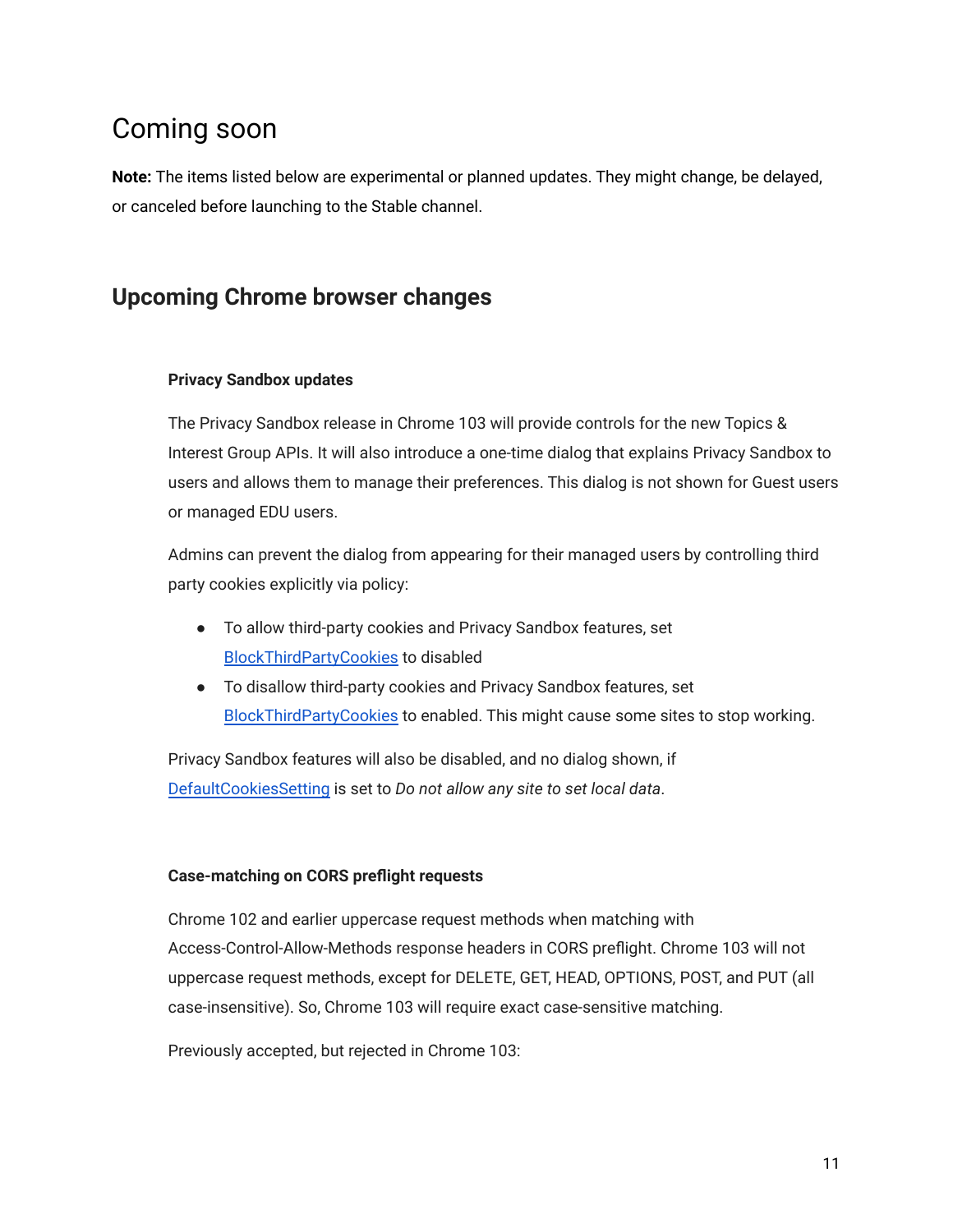## <span id="page-10-0"></span>Coming soon

**Note:** The items listed below are experimental or planned updates. They might change, be delayed, or canceled before launching to the Stable channel.

### <span id="page-10-1"></span>**Upcoming Chrome browser changes**

#### **Privacy Sandbox updates**

The Privacy Sandbox release in Chrome 103 will provide controls for the new Topics & Interest Group APIs. It will also introduce a one-time dialog that explains Privacy Sandbox to users and allows them to manage their preferences. This dialog is not shown for Guest users or managed EDU users.

Admins can prevent the dialog from appearing for their managed users by controlling third party cookies explicitly via policy:

- To allow third-party cookies and Privacy Sandbox features, set [BlockThirdPartyCookies](https://chromeenterprise.google/policies/#BlockThirdPartyCookies) to disabled
- To disallow third-party cookies and Privacy Sandbox features, set [BlockThirdPartyCookies](https://chromeenterprise.google/policies/#BlockThirdPartyCookies) to enabled. This might cause some sites to stop working.

Privacy Sandbox features will also be disabled, and no dialog shown, if [DefaultCookiesSetting](https://chromeenterprise.google/policies/#DefaultCookiesSetting) is set to *Do not allow any site to set local data*.

#### **Case-matching on CORS preflight requests**

Chrome 102 and earlier uppercase request methods when matching with Access-Control-Allow-Methods response headers in CORS preflight. Chrome 103 will not uppercase request methods, except for DELETE, GET, HEAD, OPTIONS, POST, and PUT (all case-insensitive). So, Chrome 103 will require exact case-sensitive matching.

Previously accepted, but rejected in Chrome 103: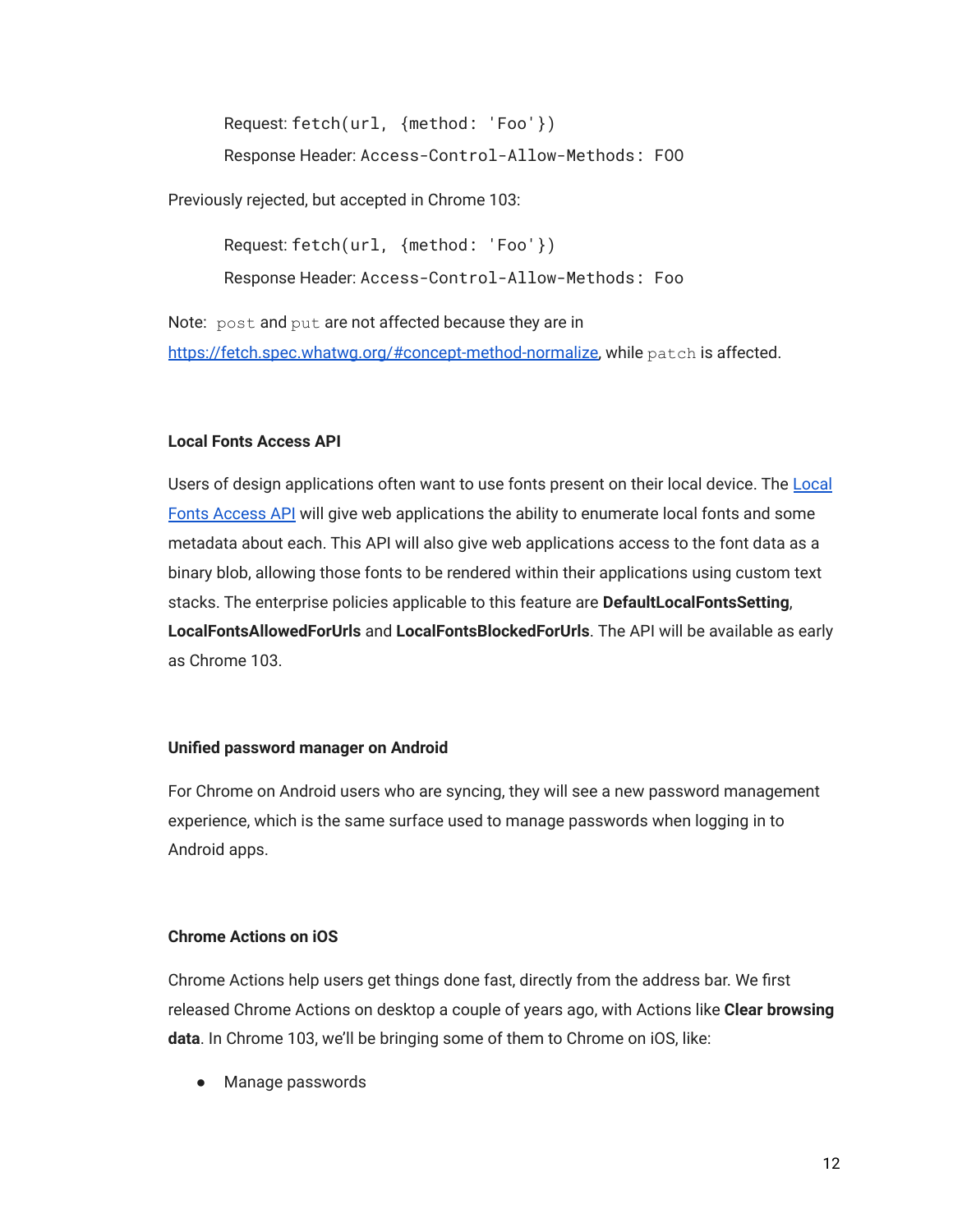Request: fetch(url, {method: 'Foo'}) Response Header: Access-Control-Allow-Methods: FOO

Previously rejected, but accepted in Chrome 103:

Request: fetch(url, {method: 'Foo'}) Response Header: Access-Control-Allow-Methods: Foo

Note: post and put are not affected because they are in [https://fetch.spec.whatwg.org/#concept-method-normalize,](https://fetch.spec.whatwg.org/#concept-method-normalize) while patch is affected.

#### **Local Fonts Access API**

Users of design applications often want to use fonts present on their local device. The [Local](https://web.dev/local-fonts/) [Fonts Access API](https://web.dev/local-fonts/) will give web applications the ability to enumerate local fonts and some metadata about each. This API will also give web applications access to the font data as a binary blob, allowing those fonts to be rendered within their applications using custom text stacks. The enterprise policies applicable to this feature are **DefaultLocalFontsSetting**, **LocalFontsAllowedForUrls** and **LocalFontsBlockedForUrls**. The API will be available as early as Chrome 103.

#### **Unified password manager on Android**

For Chrome on Android users who are syncing, they will see a new password management experience, which is the same surface used to manage passwords when logging in to Android apps.

#### **Chrome Actions on iOS**

Chrome Actions help users get things done fast, directly from the address bar. We first released Chrome Actions on desktop a couple of years ago, with Actions like **Clear browsing data**. In Chrome 103, we'll be bringing some of them to Chrome on iOS, like:

● Manage passwords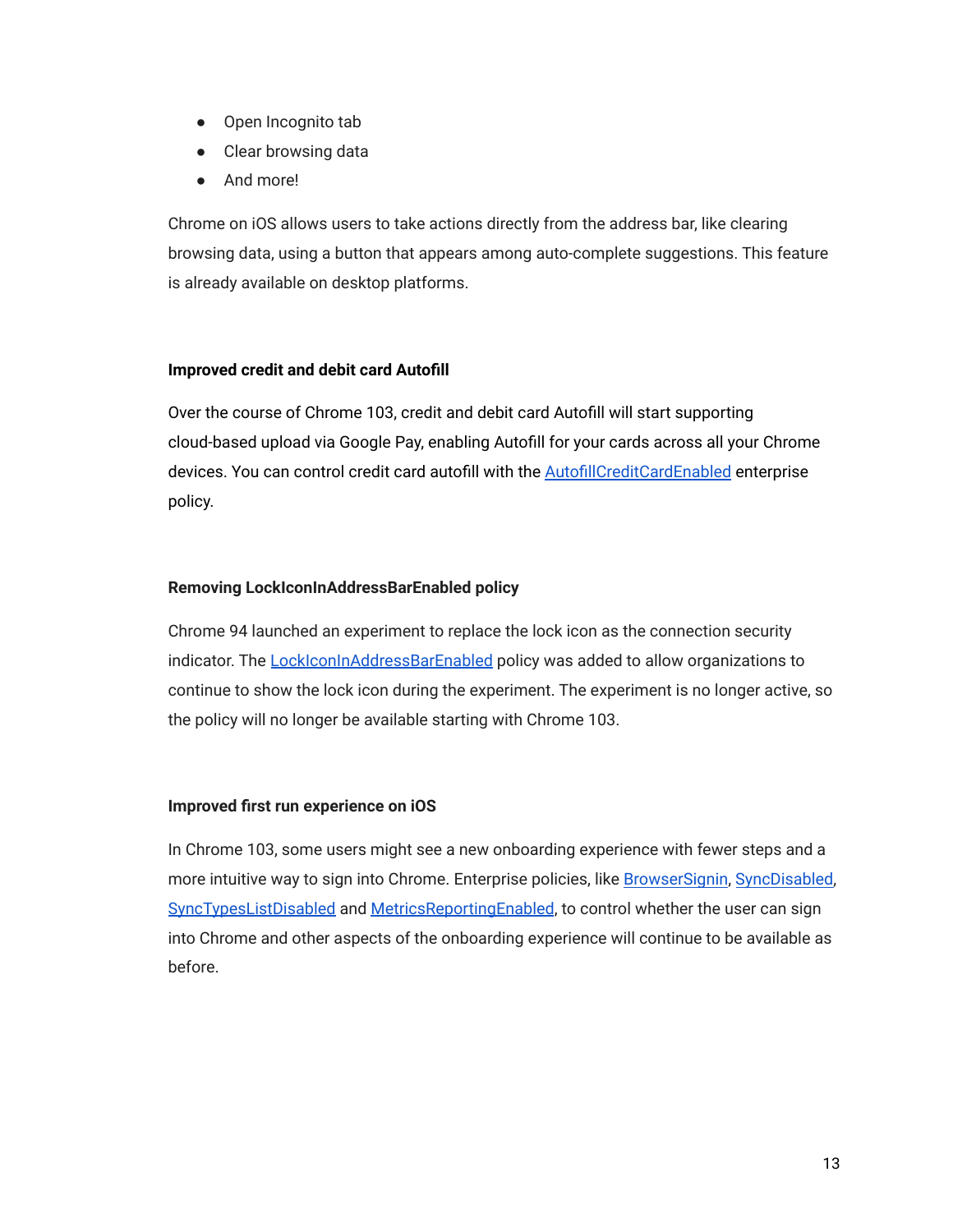- Open Incognito tab
- Clear browsing data
- And more!

Chrome on iOS allows users to take actions directly from the address bar, like clearing browsing data, using a button that appears among auto-complete suggestions. This feature is already available on desktop platforms.

#### **Improved credit and debit card Autofill**

Over the course of Chrome 103, credit and debit card Autofill will start supporting cloud-based upload via Google Pay, enabling Autofill for your cards across all your Chrome devices. You can control credit card autofill with the [AutofillCreditCardEnabled](https://chromeenterprise.google/policies/#AutofillCreditCardEnabled) enterprise policy.

#### **Removing LockIconInAddressBarEnabled policy**

Chrome 94 launched an experiment to replace the lock icon as the connection security indicator. The [LockIconInAddressBarEnabled](https://chromeenterprise.google/policies/#LockIconInAddressBarEnabled) policy was added to allow organizations to continue to show the lock icon during the experiment. The experiment is no longer active, so the policy will no longer be available starting with Chrome 103.

#### **Improved first run experience on iOS**

In Chrome 103, some users might see a new onboarding experience with fewer steps and a more intuitive way to sign into Chrome. Enterprise policies, like [BrowserSignin,](https://chromeenterprise.google/policies/#BrowserSignin) [SyncDisabled,](https://chromeenterprise.google/policies/#SyncDisabled) [SyncTypesListDisabled](https://chromeenterprise.google/policies/#SyncTypesListDisabled) and [MetricsReportingEnabled](https://chromeenterprise.google/policies/#MetricsReportingEnabled), to control whether the user can sign into Chrome and other aspects of the onboarding experience will continue to be available as before.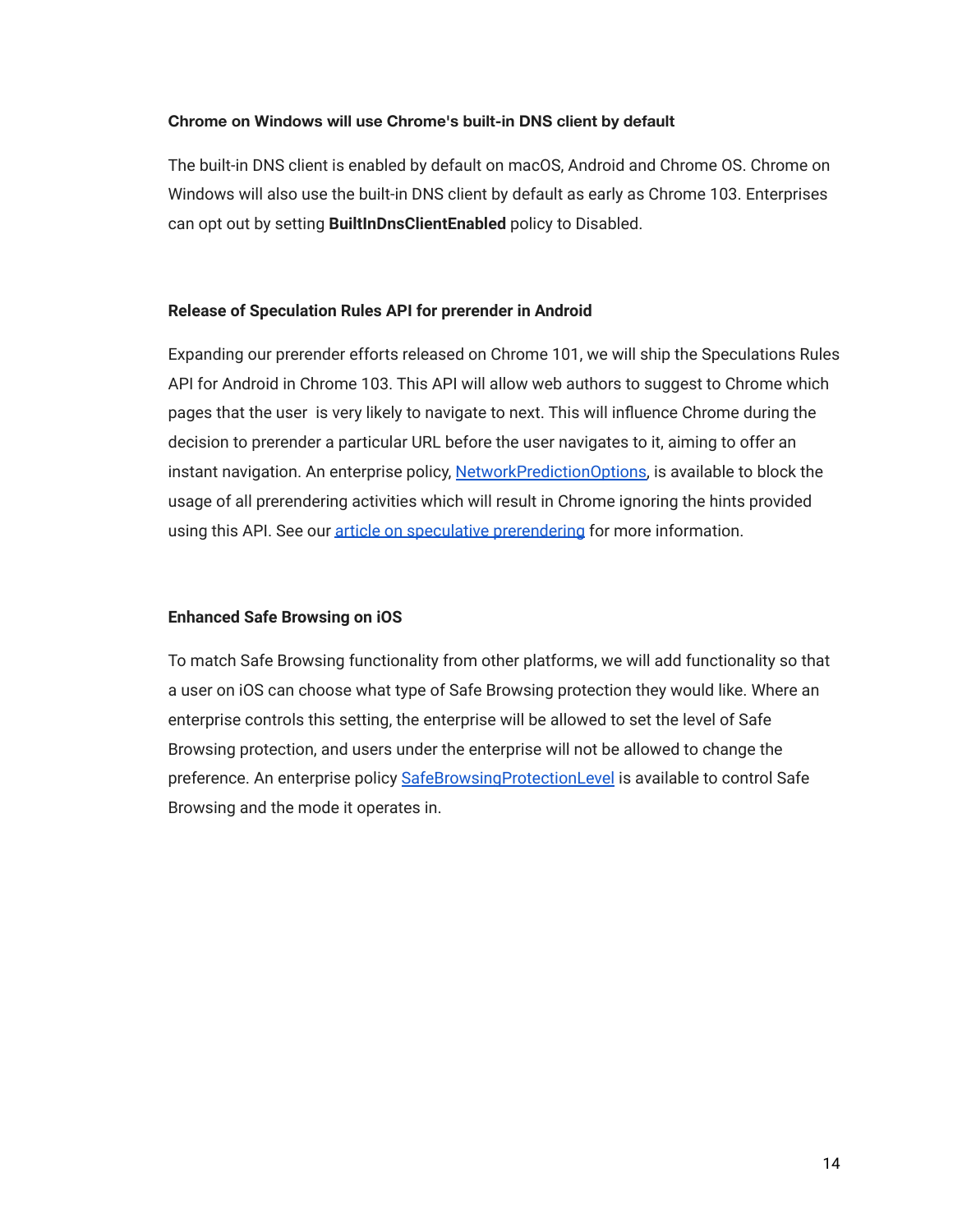#### **Chrome on Windows will use Chrome's built-in DNS client by default**

The built-in DNS client is enabled by default on macOS, Android and Chrome OS. Chrome on Windows will also use the built-in DNS client by default as early as Chrome 103. Enterprises can opt out by setting **BuiltInDnsClientEnabled** policy to Disabled.

#### **Release of Speculation Rules API for prerender in Android**

Expanding our prerender efforts released on Chrome 101, we will ship the Speculations Rules API for Android in Chrome 103. This API will allow web authors to suggest to Chrome which pages that the user is very likely to navigate to next. This will influence Chrome during the decision to prerender a particular URL before the user navigates to it, aiming to offer an instant navigation. An enterprise policy, [NetworkPredictionOptions,](https://chromeenterprise.google/policies/#NetworkPredictionOptions) is available to block the usage of all prerendering activities which will result in Chrome ignoring the hints provided using this API. See our [article on speculative prerendering](https://web.dev/speculative-prerendering/#same-origin-prerendering-trial) for more information.

#### **Enhanced Safe Browsing on iOS**

To match Safe Browsing functionality from other platforms, we will add functionality so that a user on iOS can choose what type of Safe Browsing protection they would like. Where an enterprise controls this setting, the enterprise will be allowed to set the level of Safe Browsing protection, and users under the enterprise will not be allowed to change the preference. An enterprise policy [SafeBrowsingProtectionLevel](https://chromeenterprise.google/policies/#SafeBrowsingProtectionLevel) is available to control Safe Browsing and the mode it operates in.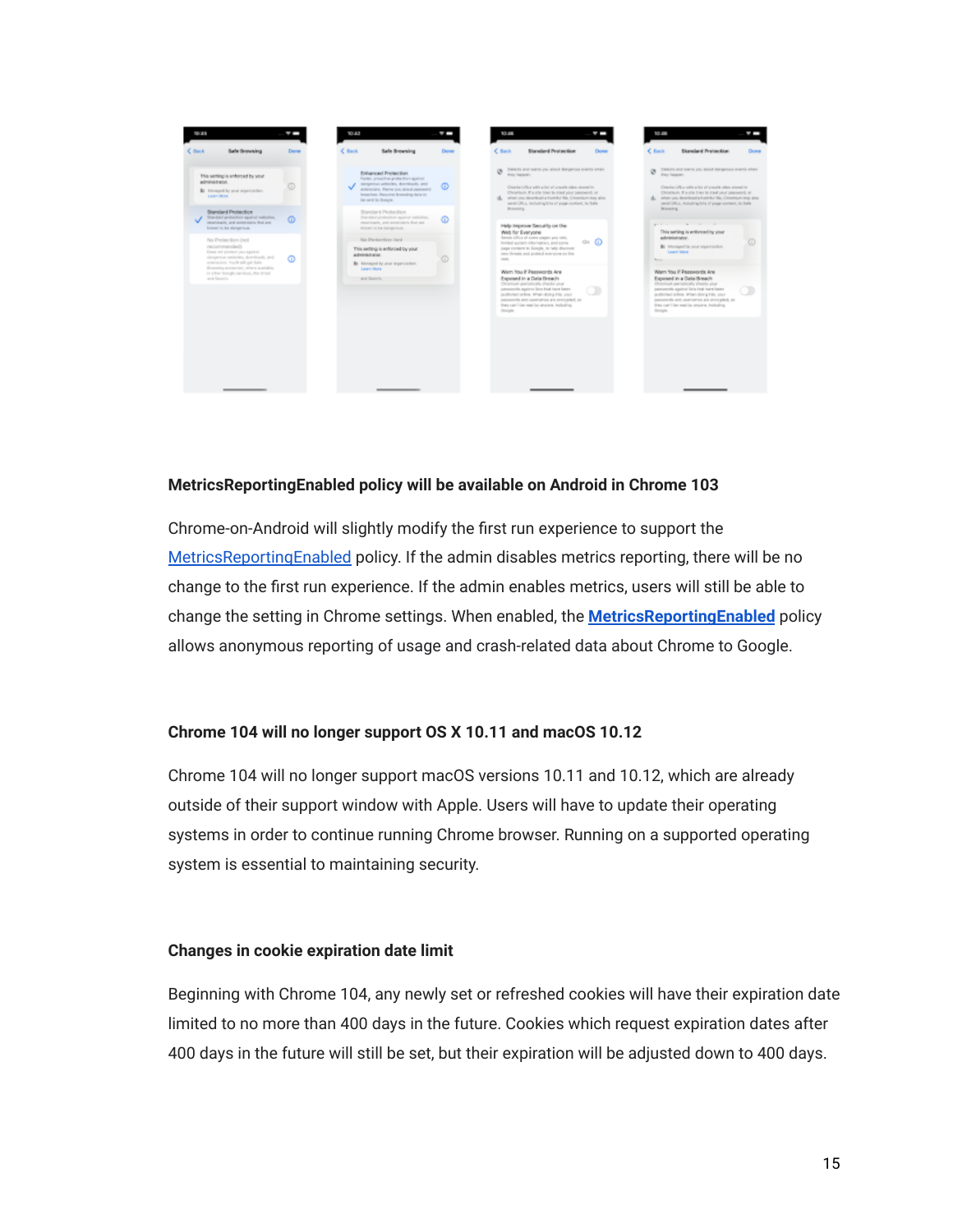| $<$ Back<br><b>Sale Browsing</b><br>Dente<br>This setting is enforced by your<br><b>ADMINISTRATI</b><br>ō<br>\$1 Minnesot by your organization.<br>Lawrighter. | C Back<br><b>Sale Browning</b><br><b>Enhanced Prestaction</b><br>Pacific, prooffice profection applied<br>stampentus ambsches, describuels, and<br>extensions. Plann you about personnel<br>innactus. Resultes broading data in | C Back<br><b>Standard Protection</b><br>Done<br>Denne<br>Detects and warm you alread distigatives energy when<br>ø<br>they harder.<br>®<br>Chanda URLs volits achot ad arounds often utcessi in                                                                                          | C Back<br><b>Standard Protection</b><br>C Director and waiths you whould design that events when<br>tives harassen.                                                                                                                                                                     |
|----------------------------------------------------------------------------------------------------------------------------------------------------------------|---------------------------------------------------------------------------------------------------------------------------------------------------------------------------------------------------------------------------------|------------------------------------------------------------------------------------------------------------------------------------------------------------------------------------------------------------------------------------------------------------------------------------------|-----------------------------------------------------------------------------------------------------------------------------------------------------------------------------------------------------------------------------------------------------------------------------------------|
|                                                                                                                                                                |                                                                                                                                                                                                                                 |                                                                                                                                                                                                                                                                                          |                                                                                                                                                                                                                                                                                         |
|                                                                                                                                                                | be used in Dong's.                                                                                                                                                                                                              | Christians, if a site tree to meet your password, or<br>all. when you described a harmful life. One might stay also<br>send URLs, including bits of gage-content, to Safe                                                                                                                | Chassis URLs with a lot of smark sites stored in<br>Christians, if a site tract to med your passwort, or<br>al. when you described a humital life. Organizm may also<br>send URLs, including bits of gage porters, to Sale.                                                             |
| Standard Pentantina<br>Standard protection against neibeline,<br>$\omega$<br>dearsing its, and university's that are<br>forement his first stamperbunk.        | Standard Pentaction<br>Tonderly/Weller applied vehicles,<br>réservisais, and extensions that are<br>beneath to lot slampersum.                                                                                                  | Resorcing.<br>$\omega$<br>Help Improve Security on the<br>Web for Everyone                                                                                                                                                                                                               | <b>Beneating</b><br>and the company of the company of the<br>This setting is enforced by your                                                                                                                                                                                           |
| Pain President Boys Cresti<br>modernmended)<br>Green red product you against<br>despense selectes, dorehoods, and<br>ത<br>extensions. You'll still get finite  | Ain Denker-Eine (levid)<br>This setting is enforced by your<br>administrator.<br><b>B</b> Monaped by your erganization.                                                                                                         | Gently Lifting of some competences.<br>ை<br>limited surfact attornation, and some<br>page rentent to license, to help discount<br>new threats and probed won/pone on the<br>$\circ$<br>such.                                                                                             | ackreasionmator.<br><b>B</b> Managed by your paperwayters.<br>Lasare Mary<br><b>Service</b>                                                                                                                                                                                             |
| Enventing prelimition, where available.<br>in other thought services, this firmal<br>and Genetic.                                                              | Learn Work<br>and Georgia                                                                                                                                                                                                       | Warn You if Passwords Are<br>Exposed in a Data Reserts<br>Christinal periodically checks your<br>commercies assigned lists that have been<br>published ordinal What-Bowg Erik, start<br>passworths and yearner as an entropied, as<br>they can't be read by anyons, including<br>Google. | Warn You if Passwords Are<br>Exposed in a Gata Sireach<br>Chromium periodically checky your<br>ammenteds assimal linia titud learn lanes<br>published prime, When-Song Ellis, your<br>percent ds and asservance are anonypled, so<br>they can't be readily project. Including<br>Sough. |

#### **MetricsReportingEnabled policy will be available on Android in Chrome 103**

Chrome-on-Android will slightly modify the first run experience to support the [MetricsReportingEnabled](https://chromeenterprise.google/policies/#MetricsReportingEnabled) policy. If the admin disables metrics reporting, there will be no change to the first run experience. If the admin enables metrics, users will still be able to change the setting in Chrome settings. When enabled, the **[MetricsReportingEnabled](https://chromeenterprise.google/policies/#MetricsReportingEnabled)** policy allows anonymous reporting of usage and crash-related data about Chrome to Google.

#### **Chrome 104 will no longer support OS X 10.11 and macOS 10.12**

Chrome 104 will no longer support macOS versions 10.11 and 10.12, which are already outside of their support window with Apple. Users will have to update their operating systems in order to continue running Chrome browser. Running on a supported operating system is essential to maintaining security.

#### **Changes in cookie expiration date limit**

Beginning with Chrome 104, any newly set or refreshed cookies will have their expiration date limited to no more than 400 days in the future. Cookies which request expiration dates after 400 days in the future will still be set, but their expiration will be adjusted down to 400 days.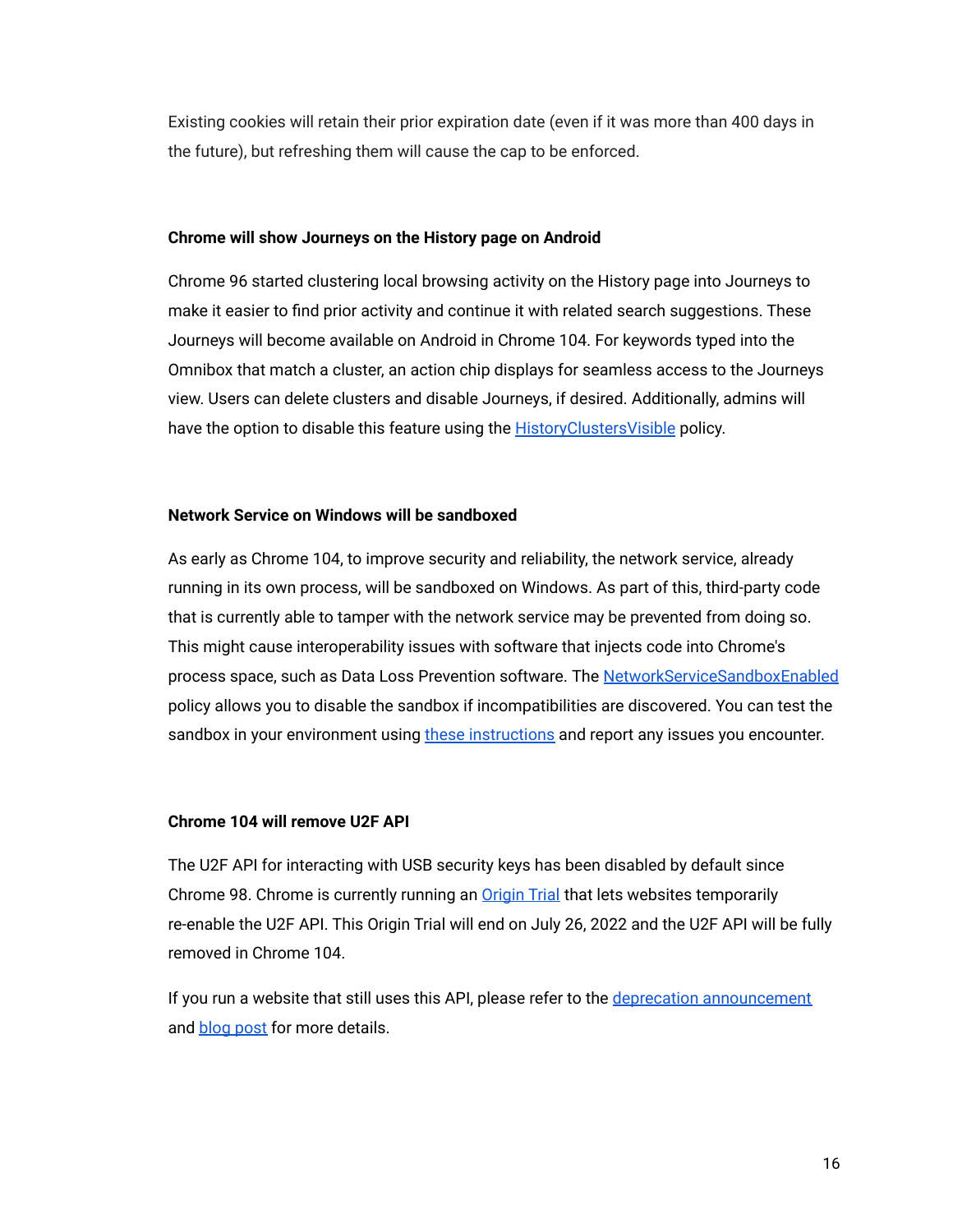Existing cookies will retain their prior expiration date (even if it was more than 400 days in the future), but refreshing them will cause the cap to be enforced.

#### **Chrome will show Journeys on the History page on Android**

Chrome 96 started clustering local browsing activity on the History page into Journeys to make it easier to find prior activity and continue it with related search suggestions. These Journeys will become available on Android in Chrome 104. For keywords typed into the Omnibox that match a cluster, an action chip displays for seamless access to the Journeys view. Users can delete clusters and disable Journeys, if desired. Additionally, admins will have the option to disable this feature using the **[HistoryClustersVisible](https://chromeenterprise.google/policies/#HistoryClustersVisible)** policy.

#### **Network Service on Windows will be sandboxed**

As early as Chrome 104, to improve security and reliability, the network service, already running in its own process, will be sandboxed on Windows. As part of this, third-party code that is currently able to tamper with the network service may be prevented from doing so. This might cause interoperability issues with software that injects code into Chrome's process space, such as Data Loss Prevention software. The [NetworkServiceSandboxEnabled](https://chromeenterprise.google/policies/#NetworkServiceSandboxEnabled) policy allows you to disable the sandbox if incompatibilities are discovered. You can test the sandbox in your environment using [these instructions](https://docs.google.com/document/d/1Bk3Z8CUQucd8FP6ISKkT3Q9YYuP43574VIO_kyAISBU/view) and report any issues you encounter.

#### **Chrome 104 will remove U2F API**

The U2F API for interacting with USB security keys has been disabled by default since Chrome 98. Chrome is currently running an [Origin Trial](https://developer.chrome.com/origintrials/#/view_trial/-6366963973195038719) that lets websites temporarily re-enable the U2F API. This Origin Trial will end on July 26, 2022 and the U2F API will be fully removed in Chrome 104.

If you run a website that still uses this API, please refer to the [deprecation announcement](https://groups.google.com/a/chromium.org/g/blink-dev/c/xHC3AtU_65A) and **[blog post](https://developer.chrome.com/blog/deps-rems-95/#deprecate-u2f-api-cryptotoken)** for more details.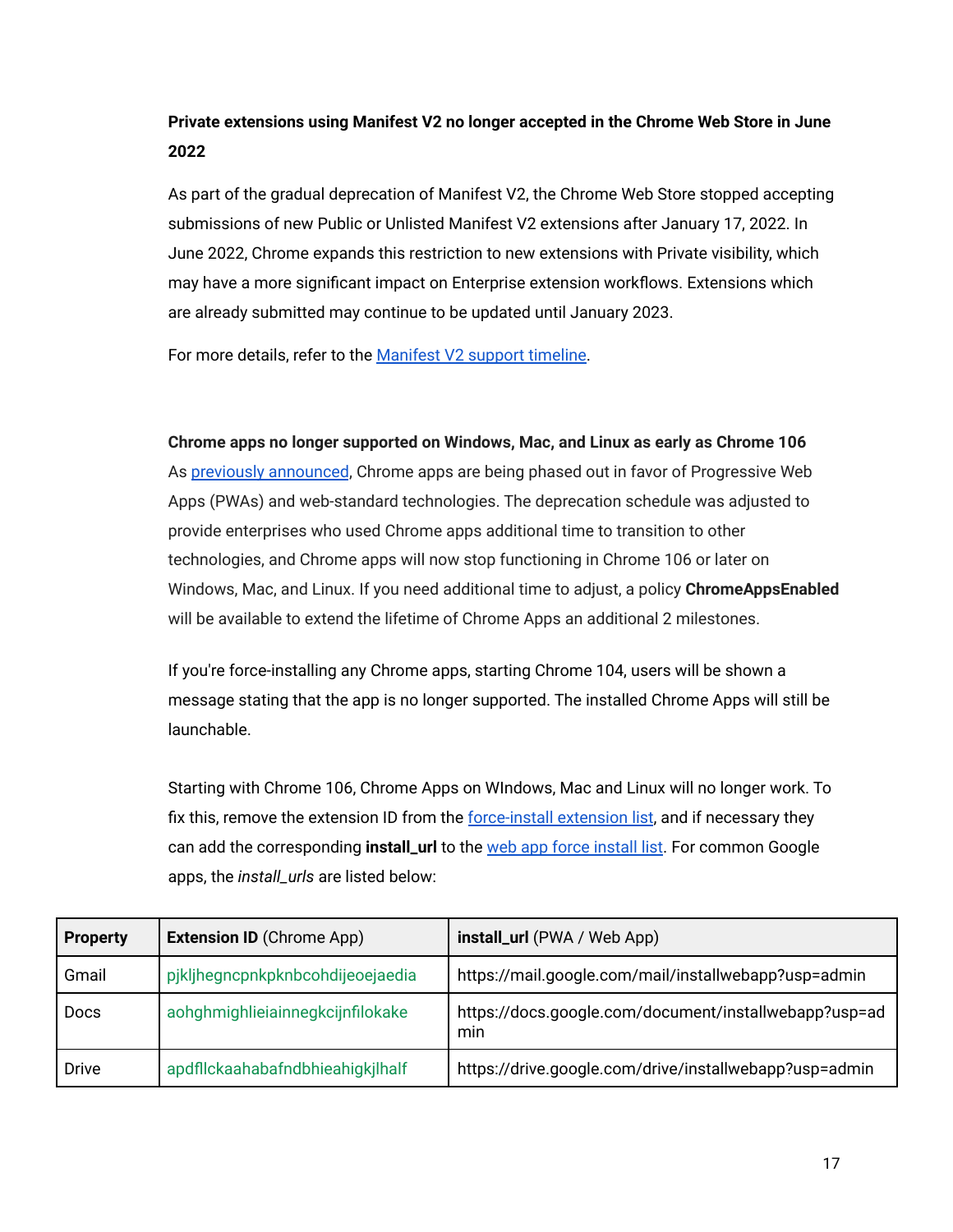### **Private extensions using Manifest V2 no longer accepted in the Chrome Web Store in June 2022**

As part of the gradual deprecation of Manifest V2, the Chrome Web Store stopped accepting submissions of new Public or Unlisted Manifest V2 extensions after January 17, 2022. In June 2022, Chrome expands this restriction to new extensions with Private visibility, which may have a more significant impact on Enterprise extension workflows. Extensions which are already submitted may continue to be updated until January 2023.

For more details, refer to the [Manifest V2 support](https://developer.chrome.com/docs/extensions/mv3/mv2-sunset/) timeline.

#### **Chrome apps no longer supported on Windows, Mac, and Linux as early as Chrome 106**

As [previously announced](https://blog.chromium.org/2020/08/changes-to-chrome-app-support-timeline.html), Chrome apps are being phased out in favor of Progressive Web Apps (PWAs) and web-standard technologies. The deprecation schedule was adjusted to provide enterprises who used Chrome apps additional time to transition to other technologies, and Chrome apps will now stop functioning in Chrome 106 or later on Windows, Mac, and Linux. If you need additional time to adjust, a policy **ChromeAppsEnabled** will be available to extend the lifetime of Chrome Apps an additional 2 milestones.

If you're force-installing any Chrome apps, starting Chrome 104, users will be shown a message stating that the app is no longer supported. The installed Chrome Apps will still be launchable.

Starting with Chrome 106, Chrome Apps on WIndows, Mac and Linux will no longer work. To fix this, remove the extension ID from the force-install [extension list](https://chromeenterprise.google/policies/#ExtensionInstallForcelist), and if necessary they can add the corresponding **install\_url** to the web app [force install list](https://chromeenterprise.google/policies/?policy=WebAppInstallForceList). For common Google apps, the *install\_urls* are listed below:

| <b>Property</b> | <b>Extension ID (Chrome App)</b> | install_url (PWA / Web App)                                  |
|-----------------|----------------------------------|--------------------------------------------------------------|
| Gmail           | pjkljhegncpnkpknbcohdijeoejaedia | https://mail.google.com/mail/installwebapp?usp=admin         |
| <b>Docs</b>     | aohghmighlieiainnegkcijnfilokake | https://docs.google.com/document/installwebapp?usp=ad<br>min |
| <b>Drive</b>    | apdflckaahabafndbhieahigkjlhalf  | https://drive.google.com/drive/installwebapp?usp=admin       |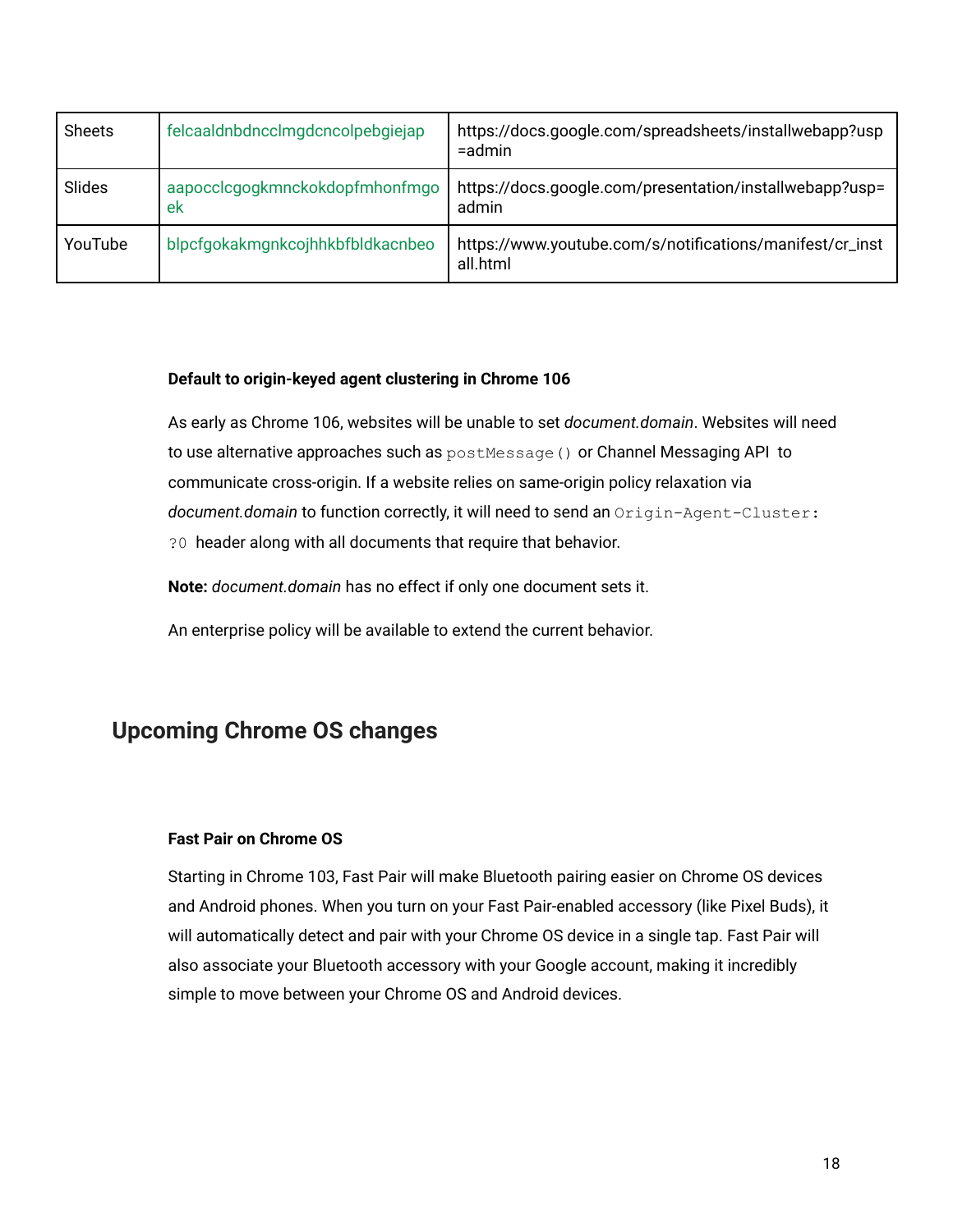| <b>Sheets</b> | felcaaldnbdncclmgdcncolpebgiejap     | https://docs.google.com/spreadsheets/installwebapp?usp<br>$=$ admin  |
|---------------|--------------------------------------|----------------------------------------------------------------------|
| Slides        | aapocclcgogkmnckokdopfmhonfmgo<br>ek | https://docs.google.com/presentation/installwebapp?usp=<br>admin     |
| YouTube       | blpcfgokakmgnkcojhhkbfbldkacnbeo     | https://www.youtube.com/s/notifications/manifest/cr_inst<br>all.html |

#### **Default to origin-keyed agent clustering in Chrome 106**

As early as Chrome 106, websites will be unable to set *document.domain*. Websites will need to use alternative approaches such as  $postMessage()$  or Channel Messaging API to communicate cross-origin. If a website relies on same-origin policy relaxation via *document.domain* to function correctly, it will need to send an Origin-Agent-Cluster: ?0 header along with all documents that require that behavior.

**Note:** *document.domain* has no effect if only one document sets it.

An enterprise policy will be available to extend the current behavior.

### <span id="page-17-0"></span>**Upcoming Chrome OS changes**

#### **Fast Pair on Chrome OS**

Starting in Chrome 103, Fast Pair will make Bluetooth pairing easier on Chrome OS devices and Android phones. When you turn on your Fast Pair-enabled accessory (like Pixel Buds), it will automatically detect and pair with your Chrome OS device in a single tap. Fast Pair will also associate your Bluetooth accessory with your Google account, making it incredibly simple to move between your Chrome OS and Android devices.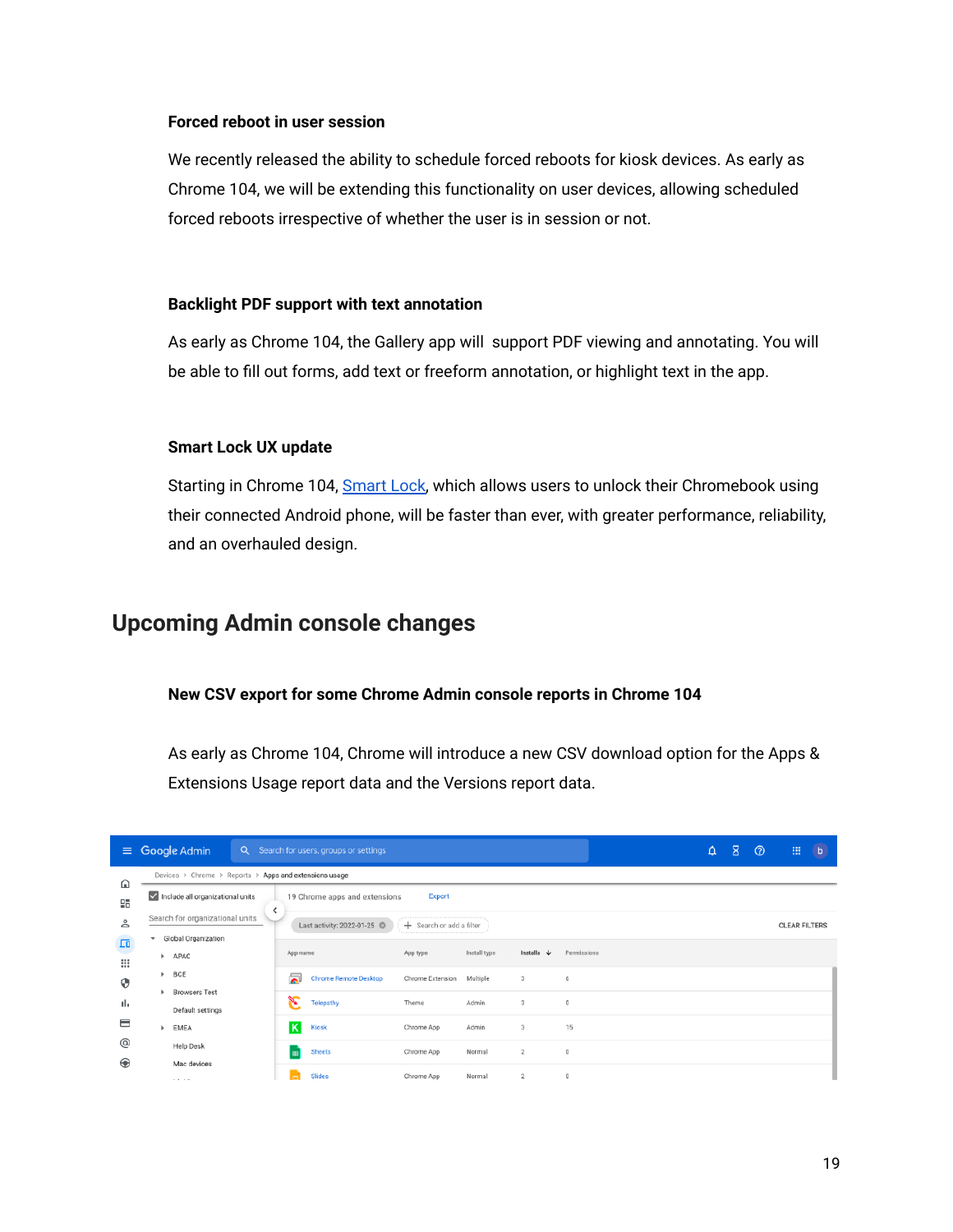#### **Forced reboot in user session**

We recently released the ability to schedule forced reboots for kiosk devices. As early as Chrome 104, we will be extending this functionality on user devices, allowing scheduled forced reboots irrespective of whether the user is in session or not.

#### **Backlight PDF support with text annotation**

As early as Chrome 104, the Gallery app will support PDF viewing and annotating. You will be able to fill out forms, add text or freeform annotation, or highlight text in the app.

#### **Smart Lock UX update**

Starting in Chrome 104, [Smart Lock,](https://support.google.com/chromebook/answer/9617782?hl=en) which allows users to unlock their Chromebook using their connected Android phone, will be faster than ever, with greater performance, reliability, and an overhauled design.

### <span id="page-18-0"></span>**Upcoming Admin console changes**

#### **New CSV export for some Chrome Admin console reports in Chrome 104**

As early as Chrome 104, Chrome will introduce a new CSV download option for the Apps & Extensions Usage report data and the Versions report data.

| $\equiv$        |                                          | Google Admin                                                                |   |                      | Q Search for users, groups or settings |                          |              |                       |                                     |  | $\Delta$ | $\mathbf{z}$ | $\circledcirc$ | 88                   | $\overline{b}$ |
|-----------------|------------------------------------------|-----------------------------------------------------------------------------|---|----------------------|----------------------------------------|--------------------------|--------------|-----------------------|-------------------------------------|--|----------|--------------|----------------|----------------------|----------------|
| ⋒               |                                          | Devices > Chrome > Reports > Apps and extensions usage                      |   |                      |                                        |                          |              |                       |                                     |  |          |              |                |                      |                |
| 멺               |                                          | Include all organizational units<br>19 Chrome apps and extensions<br>Export |   |                      |                                        |                          |              |                       |                                     |  |          |              |                |                      |                |
| ≗               |                                          | Search for organizational units                                             | ≺ |                      | Last activity: 2022-01-25              | + Search or add a filter |              |                       |                                     |  |          |              |                | <b>CLEAR FILTERS</b> |                |
| $\Box$<br>₩     | $\overline{\phantom{a}}$<br>$\mathbb{R}$ | Global Organization<br>APAC                                                 |   | App name             |                                        | App type                 | Install type | Installs $\downarrow$ | Permissions                         |  |          |              |                |                      |                |
| ⊕               | $\mathbb{R}$                             | BCE                                                                         |   | $\overline{\bullet}$ | Chrome Remote Desktop                  | Chrome Extension         | Multiple     | 3                     | 6                                   |  |          |              |                |                      |                |
| пh              |                                          | <b>Browsers Test</b><br>Default settings                                    |   | Я                    | Telepathy                              | Theme                    | Admin        | 3                     | $\mathbf 0$                         |  |          |              |                |                      |                |
| ⊟               |                                          | EMEA                                                                        |   | K                    | Kiosk                                  | Chrome App               | Admin        | 3                     | 15                                  |  |          |              |                |                      |                |
| @<br>$\bigcirc$ |                                          | Help Desk                                                                   |   | m                    | Sheets                                 | Chrome App               | Normal       | $\mathbf{2}$          | $\begin{array}{c} 0 \\ \end{array}$ |  |          |              |                |                      |                |
|                 |                                          | Mac devices<br><b>COLLEGE</b>                                               |   |                      | <b>Slides</b>                          | Chrome App               | Normal       | $\overline{2}$        | $\mathbf 0$                         |  |          |              |                |                      |                |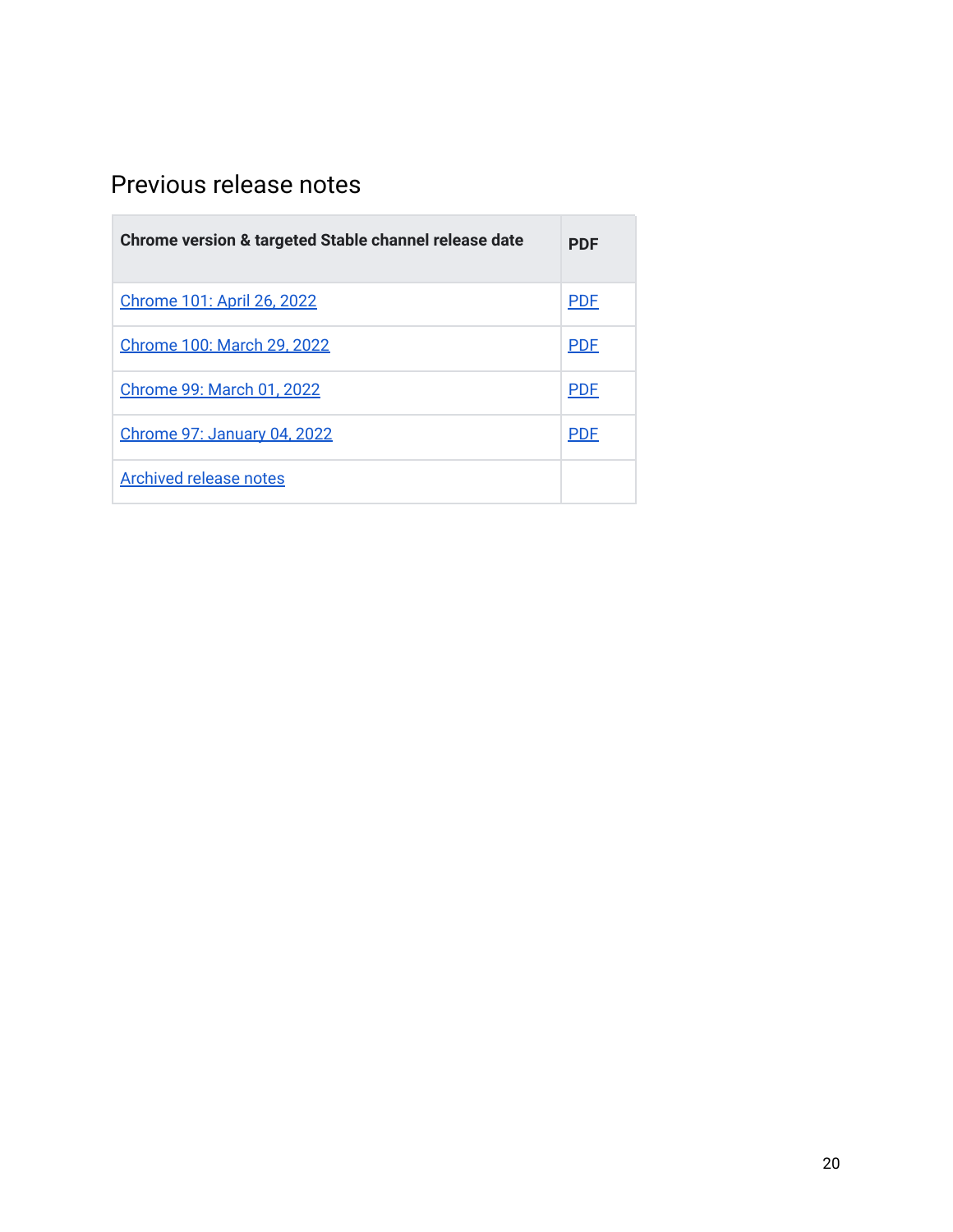## <span id="page-19-0"></span>Previous release notes

| Chrome version & targeted Stable channel release date | <b>PDF</b> |
|-------------------------------------------------------|------------|
| Chrome 101: April 26, 2022                            | <b>PDF</b> |
| <b>Chrome 100: March 29, 2022</b>                     | <b>PDF</b> |
| Chrome 99: March 01, 2022                             | <b>PDF</b> |
| <b>Chrome 97: January 04, 2022</b>                    | <b>PDF</b> |
| <b>Archived release notes</b>                         |            |

the control of the control of